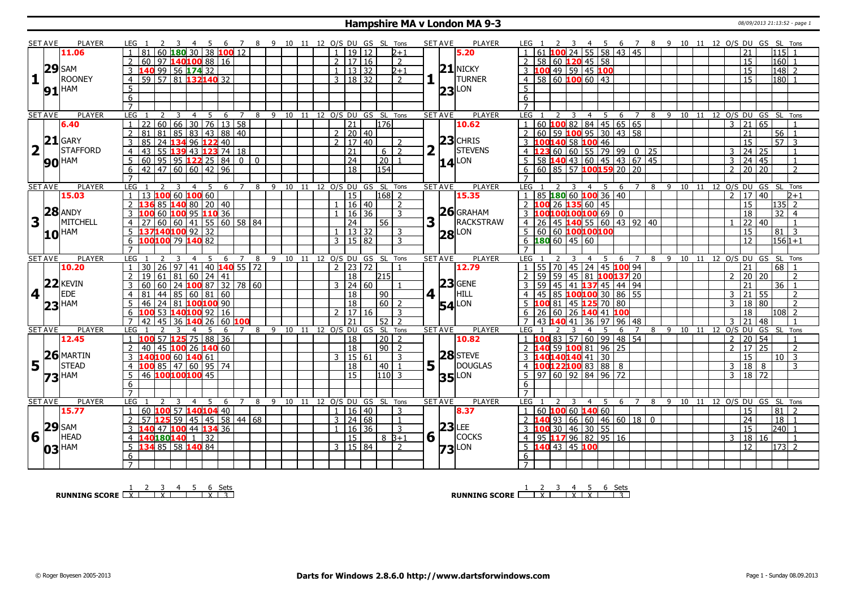#### **Hampshire MA v London MA 9-3** 08/09/2013 21:13:52 - page 1

|                         | <b>SET AVE</b>      | <b>PLAYER</b>       | LEG 1                |                                |                | 4 5 6 7 8 9 10 11 12 O/S DU GS SL Tons    |                |   |         |    |                |                                |                                            |                | <b>SET AVE</b>  | <b>PLAYER</b>       | LEG 1                                                                       | 3 4 5 6 7 8 9 10 11 12 O/S DU GS SL Tons |                              |   |              |         |                                |                                   |                    |                 |                          |
|-------------------------|---------------------|---------------------|----------------------|--------------------------------|----------------|-------------------------------------------|----------------|---|---------|----|----------------|--------------------------------|--------------------------------------------|----------------|-----------------|---------------------|-----------------------------------------------------------------------------|------------------------------------------|------------------------------|---|--------------|---------|--------------------------------|-----------------------------------|--------------------|-----------------|--------------------------|
|                         |                     | 11.06               |                      | 60 180 30 38 100 12            |                |                                           |                |   |         |    | $\mathbf{1}$   | 19112                          | $2 + 1$                                    |                |                 | 5.20                | $100$ 24 55 58 43 45                                                        |                                          |                              |   |              |         |                                | 21                                |                    | 115 1           |                          |
|                         |                     |                     |                      | 60 97 140 100 88 16            |                |                                           |                |   |         |    | 2              | 17 16                          | 2                                          |                |                 |                     | 58 60 120 45 58                                                             |                                          |                              |   |              |         |                                | $\overline{15}$                   |                    | 160             |                          |
|                         | $29$ SAM            |                     |                      | 140 99 56 174 32               |                |                                           |                |   |         |    |                | 13 32                          | $2 + 1$                                    |                |                 | $21$ NICKY          | 49 59 45 100<br>3100                                                        |                                          |                              |   |              |         |                                | $\overline{15}$                   |                    | 148 2           |                          |
| $\mathbf{1}$            |                     | <b>ROONEY</b>       |                      | 59 57 81 132140 32             |                |                                           |                |   |         |    |                | 3   18   32                    | $\overline{2}$                             |                |                 | <b>TURNER</b>       | $4 \overline{)58 \overline{)60 \overline{100}} \overline{60} \overline{33}$ |                                          |                              |   |              |         |                                | $\overline{15}$                   |                    | 180             |                          |
|                         |                     |                     | $\overline{4}$       |                                |                |                                           |                |   |         |    |                |                                |                                            |                |                 |                     |                                                                             |                                          |                              |   |              |         |                                |                                   |                    |                 |                          |
|                         |                     | $91$ <sup>HAM</sup> | 5                    |                                |                |                                           |                |   |         |    |                |                                |                                            |                | 23 <sub>l</sub> | LON                 | 5                                                                           |                                          |                              |   |              |         |                                |                                   |                    |                 |                          |
|                         |                     |                     | 6                    |                                |                |                                           |                |   |         |    |                |                                |                                            |                |                 |                     | 6                                                                           |                                          |                              |   |              |         |                                |                                   |                    |                 |                          |
|                         |                     |                     | $\overline{7}$       |                                |                |                                           |                |   |         |    |                |                                |                                            |                |                 |                     | $\overline{7}$                                                              |                                          |                              |   |              |         |                                |                                   |                    |                 |                          |
|                         | <b>SET AVE</b>      | <b>PLAYER</b>       | LEG                  | 2<br>3                         | $\overline{4}$ | 5<br>6                                    | $\overline{7}$ |   |         |    |                |                                | 8 9 10 11 12 O/S DU GS SL Tons             |                | <b>SET AVE</b>  | <b>PLAYER</b>       | <b>LEG</b><br>3                                                             | 4 5                                      | 6<br>$\overline{7}$          |   |              |         | 8 9 10 11 12 O/S DU GS SL Tons |                                   |                    |                 |                          |
|                         |                     | 6.40                | $\mathbf{1}$         | 60                             |                | 66 30 76 13 58                            |                |   |         |    |                | $\overline{21}$                | 176                                        |                |                 | 10.62               | 60 100 82 84 45 65 65                                                       |                                          |                              |   |              |         | $\mathbf{3}$                   | $\overline{21}$                   | 65                 |                 |                          |
|                         |                     |                     | $\mathcal{P}$<br>81  | 81                             |                | 85 83 43 88 40                            |                |   |         |    |                | $2 \mid 20 \mid 40$            |                                            |                |                 |                     | 60 59 100 95 30 43 58<br>$\overline{2}$                                     |                                          |                              |   |              |         |                                | 21                                |                    | $56$ 1          |                          |
|                         |                     | $21$ GARY           | $\overline{3}$<br>85 | 24                             |                | 134 96 122 40                             |                |   |         |    | $\overline{2}$ | 17140                          | $\mathcal{D}$                              |                |                 | $23$ CHRIS          | 100140 58 100 46                                                            |                                          |                              |   |              |         |                                | $\overline{15}$                   |                    | $\overline{57}$ | $\mathcal{R}$            |
| $\overline{\mathbf{2}}$ | $\mathbf{1}$        | <b>STAFFORD</b>     | 43                   | l 55                           |                | 43 123 74 18                              |                |   |         |    |                | $\overline{21}$                | $6\sqrt{2}$                                | $\overline{2}$ |                 | <b>STEVENS</b>      | $60 \ 60 \ 55 \ 79 \ 99 \ 0 \ 25$                                           |                                          |                              |   |              |         |                                | 3                                 | $\boxed{24}$       |                 |                          |
|                         |                     | <b>90 HAM</b>       | 5<br>60              |                                |                |                                           |                |   |         |    |                | $\overline{24}$                | 20                                         |                |                 | $14$ <sup>LON</sup> | $58\overline{140}$ 43 60 45 43 67 45                                        |                                          |                              |   |              |         |                                | 3                                 | $\overline{24}$ 45 |                 |                          |
|                         |                     |                     | 6                    | 42 47 60 60 42 96              |                |                                           |                |   |         |    |                | 18                             | 154                                        |                |                 |                     | 60 85 57 100159 20 20                                                       |                                          |                              |   |              |         |                                | $\mathcal{P}$                     | 20 20              |                 | $\overline{2}$           |
|                         |                     |                     |                      |                                |                |                                           |                |   |         |    |                |                                |                                            |                |                 |                     |                                                                             |                                          |                              |   |              |         |                                |                                   |                    |                 |                          |
|                         | <b>SET AVE</b>      | <b>PLAYER</b>       | LEG                  | 3                              | $\overline{4}$ | 5 <sup>5</sup><br>6                       | $\overline{7}$ | 8 |         |    |                |                                | 9 10 11 12 0/S DU GS SL Tons               |                | <b>SET AVE</b>  | PLAYER              | LEG                                                                         | $\overline{4}$<br>- 5                    | 6<br>$\overline{7}$          | 8 |              |         | 9 10 11 12 0/S DU GS SL        |                                   |                    |                 | Tons                     |
|                         |                     | 15.03               |                      | 13 100 60 100 60               |                |                                           |                |   |         |    |                | 15                             | $168$   2                                  |                |                 | 15.35               | 85 180 60 100 36 40                                                         |                                          |                              |   |              |         |                                | 17<br>$\mathcal{P}$               | $\overline{40}$    |                 | $b + 1$                  |
|                         |                     |                     | $\overline{2}$       | 85 140 80 20 40                |                |                                           |                |   |         |    |                | 16 40                          | $\overline{z}$                             |                |                 |                     | 26 135 60 45<br>2<br>100                                                    |                                          |                              |   |              |         |                                | $\overline{15}$                   |                    | $ 135 $ 2       |                          |
|                         |                     | $28$ ANDY           | 3                    | 60 100 95 110 36               |                |                                           |                |   |         |    |                | 16 36                          | $\overline{3}$                             |                |                 | $26$ GRAHAM         | 3 100100100100 69 0                                                         |                                          |                              |   |              |         |                                | $\overline{18}$                   |                    | 32              | $\overline{4}$           |
|                         |                     | MITCHELL            |                      |                                |                |                                           |                |   |         |    |                |                                |                                            |                |                 | RACKSTRAW           |                                                                             |                                          |                              |   |              |         |                                |                                   |                    |                 |                          |
| 3                       |                     |                     | $\overline{4}$       | $60$ 60 41 55 60 58 84         |                |                                           |                |   |         |    |                | $\overline{24}$                | 56                                         | 3              |                 |                     | 45 140 55 60 43 92 40<br>$\overline{4}$<br>26                               |                                          |                              |   |              |         |                                | $\overline{22}$                   | 40                 |                 | $\overline{1}$           |
|                         | $10$ <sup>HAM</sup> |                     |                      | 137140100 92 32                |                |                                           |                |   |         |    |                | $1 \mid 13 \mid 32$            | 3                                          |                | 28              | LON                 | 5   60   60   100   100   100                                               |                                          |                              |   |              |         |                                | $\overline{15}$                   |                    | 81              | $\overline{3}$           |
|                         |                     |                     | $6 \overline{6}$     | 100 100 79 140 82              |                |                                           |                |   |         |    |                | 3 1 1 5 1 8 2                  | ्र                                         |                |                 |                     | $6 \, 180 \, 60 \, 145 \, 60$                                               |                                          |                              |   |              |         |                                | 12                                |                    | $1561+1$        |                          |
|                         |                     |                     |                      |                                |                |                                           |                |   |         |    |                |                                |                                            |                |                 |                     |                                                                             |                                          |                              |   |              |         |                                |                                   |                    |                 |                          |
|                         | <b>SET AVE</b>      | <b>PLAYER</b>       | LEG 1                |                                |                | 6                                         | 7 8            |   |         |    |                |                                | 9 10 11 12 O/S DU GS SL Tons               |                | <b>SET AVE</b>  | <b>PLAYER</b>       | $LEG$ 1                                                                     |                                          | $\overline{7}$<br>6          |   |              |         | 8 9 10 11 12 0/S DU GS SL      |                                   |                    |                 | Tons                     |
|                         |                     |                     |                      |                                |                |                                           |                |   |         |    |                |                                |                                            |                |                 |                     |                                                                             |                                          |                              |   |              |         |                                |                                   |                    |                 |                          |
|                         |                     | 10.20               |                      | 30 26<br>97                    |                | 41 40 140 55 72                           |                |   |         |    |                | $2$   23   72                  |                                            |                |                 | 12.79               | $55 \mid 70$                                                                | 45 24 45 100 94                          |                              |   |              |         |                                | 21                                |                    | 68              |                          |
|                         |                     |                     | 19                   | 61<br>  81                     |                | 60   24   41                              |                |   |         |    |                | 18                             | 215                                        |                |                 |                     | 59<br>45 81<br>59                                                           |                                          | 100137 20                    |   |              |         |                                | 20                                | 20                 |                 | $\overline{\phantom{a}}$ |
|                         |                     | $22$ <b>KEVIN</b>   | 3<br>60              | 60                             |                | $24$ 100 87 32 78 60                      |                |   |         |    |                | $3 \mid 24 \mid 60$            |                                            |                |                 | $ 23 $ GENE         | 59<br>45                                                                    | 41 137 45 44 94                          |                              |   |              |         |                                | 21                                |                    | 36              |                          |
|                         | $4$                 | <b>IEDE</b>         | $\overline{4}$<br>81 | 44                             |                | 85   60   81   60                         |                |   |         |    |                | 18                             | $\sqrt{90}$                                |                | 4 1             | HILL                | 85 100 100 30 86 55<br>45<br>$\overline{4}$                                 |                                          |                              |   |              |         |                                | $\overline{3}$<br>21              | 55                 |                 | $\overline{2}$           |
|                         |                     |                     | 5<br>46              | 24 81 200 200 90               |                |                                           |                |   |         |    |                | 18                             | $\boxed{60}$ 2                             |                |                 |                     | 5                                                                           |                                          |                              |   |              |         |                                | $\overline{3}$<br>$\overline{18}$ | $ 80\rangle$       |                 | $\overline{2}$           |
|                         |                     | $23$ <sup>HAM</sup> | 6<br>100             |                                |                |                                           |                |   |         |    |                |                                | $\overline{3}$                             |                |                 | $54$ <sup>LON</sup> | 81 45 125 70 80<br>26 60 26 140 41 100<br>6                                 |                                          |                              |   |              |         |                                | $\overline{18}$                   |                    |                 |                          |
|                         |                     |                     | $\overline{7}$<br>42 | $53$ 140100 92 16<br>45        |                |                                           |                |   |         |    |                | 2   17   16<br>$\overline{21}$ |                                            |                |                 |                     | $\overline{7}$<br>43<br>40                                                  | $\overline{97}$                          |                              |   |              |         |                                | $\overline{21}$<br>3              |                    | $ 108 $ 2       |                          |
|                         | <b>SET AVE</b>      | <b>PLAYER</b>       | <b>LEG</b>           |                                |                | 36 140 26 60 100<br>-5<br>6               | $7^{\circ}$    |   |         |    |                |                                | $52$   2<br>8 9 10 11 12 0/S DU GS SL Tons |                |                 | PLAYER              | $41 \overline{)36}$<br>LEG                                                  | 4                                        | 96 48<br>6<br>$\overline{7}$ |   | 8 9 10 11 12 |         |                                |                                   | 48<br>O/S DU GS SL |                 | Tons                     |
|                         |                     | 12.45               | 100                  |                                |                |                                           |                |   |         |    |                | 18                             |                                            |                | <b>SET AVE</b>  | 10.82               |                                                                             |                                          |                              |   |              |         |                                | $\overline{2}$                    | 54                 |                 |                          |
|                         |                     |                     | $\overline{2}$       | 57 125 75 88 36                |                |                                           |                |   |         |    |                |                                | $\vert 20 \vert 2$                         |                |                 |                     | 83 57 60 99 48 54<br>2 <sub>1</sub>                                         |                                          |                              |   |              |         |                                | 20<br>17                          |                    |                 | $\overline{2}$           |
|                         |                     |                     | 40                   | 45                             |                | 100 26 140 60                             |                |   |         |    | 3              | $ 18\rangle$                   | $90$   2                                   |                |                 |                     | 59 100 81 96                                                                |                                          | $\overline{25}$              |   |              |         |                                | $2^{\circ}$                       | 25                 |                 |                          |
|                         |                     | $26$ MARTIN         | 3                    | 140 <mark>100</mark> 60 140 61 |                |                                           |                |   |         |    |                | 15 61                          | 3                                          |                |                 | $28$ STEVE          | 40140140 41 30                                                              |                                          |                              |   |              |         |                                | 15                                |                    | 10 <sup>1</sup> | $\overline{\mathbf{3}}$  |
| 5 <sup>1</sup>          | $\vert \bot \vert$  | <b>STEAD</b>        |                      | 100 85   47                    |                | $60$   95   74                            |                |   |         |    |                | 18                             | 40                                         | 5              |                 | DOUGLAS             | $.00122100$ 83 88 8                                                         |                                          |                              |   |              |         |                                | 18<br>3                           | 8                  |                 | 3                        |
|                         | <b>73</b> HAM       |                     | 5                    | 46 100100100 45                |                |                                           |                |   |         |    |                | 15                             | $ 110 $ 3                                  |                |                 | <b>35</b> LON       | $97$ 60 92 84 96 72<br>5                                                    |                                          |                              |   |              |         |                                | $\overline{3}$                    | $18$ 72            |                 |                          |
|                         |                     |                     | 6                    |                                |                |                                           |                |   |         |    |                |                                |                                            |                |                 |                     | 6                                                                           |                                          |                              |   |              |         |                                |                                   |                    |                 |                          |
|                         |                     |                     |                      |                                |                |                                           |                |   |         |    |                |                                |                                            |                |                 |                     |                                                                             |                                          |                              |   |              |         |                                |                                   |                    |                 |                          |
|                         | <b>SET AVE</b>      | PLAYER              | LEG                  |                                | $\overline{4}$ | .5<br>6                                   | $7^{\circ}$    | 8 | 9<br>10 | 11 |                |                                | 12 O/S DU GS SL Tons                       |                | <b>SET AVE</b>  | <b>PLAYER</b>       | LEG <sub>1</sub><br>3                                                       | $\overline{4}$<br>5                      | 6<br>$\overline{7}$          | 8 |              | 9 10 11 | 12 O/S DU GS SL Tons           |                                   |                    |                 |                          |
|                         |                     | 15.77               | 60<br>$\mathbf{1}$   | 100                            |                | 57   140 <sup> </sup> 104 <sup> </sup> 40 |                |   |         |    |                | 1 16 140                       | 3                                          |                |                 | 8.37                | 60 100 60 140 60                                                            |                                          |                              |   |              |         |                                | 15                                |                    | 81              | $\mathcal{D}$            |
|                         |                     |                     | 2<br>57              | 59                             |                | 45   45   58   44   68                    |                |   |         |    |                | $3 \mid 24 \mid 68$            | $\mathbf{1}$                               |                |                 |                     | 93 66 60 46 60 18 0                                                         |                                          |                              |   |              |         |                                | $\overline{24}$                   |                    | 18              |                          |
|                         |                     | $29$ SAM            | 3                    | 140 47 100 44 134 36           |                |                                           |                |   |         |    |                | 16   36                        | $\overline{3}$                             |                |                 | $23$ LEE            | 30 46 30 55<br>3100                                                         |                                          |                              |   |              |         |                                | $\overline{15}$                   |                    | $ 240 $ 1       |                          |
| 6                       | $\mathbf{L}$        | <b>HEAD</b>         | $\overline{4}$       | 40180140 1 32                  |                |                                           |                |   |         |    |                | <sup>15</sup>                  | $8\overline{3+1}$                          | 6              |                 | <b>COCKS</b>        | 95 117 96 82 95 16<br>$\overline{4}$                                        |                                          |                              |   |              |         |                                | 3                                 | 18 16              |                 | $\overline{1}$           |
|                         |                     |                     | 5                    | 134 85 58 140 84               |                |                                           |                |   |         |    |                | 3   15   84                    | $\overline{2}$                             |                |                 | LON                 | 5 140 43 45 100                                                             |                                          |                              |   |              |         |                                | 12                                |                    | $173$ 2         |                          |
|                         |                     | $03$ <sup>HAM</sup> | 6<br>$\overline{7}$  |                                |                |                                           |                |   |         |    |                |                                |                                            |                | 73              |                     | 6                                                                           |                                          |                              |   |              |         |                                |                                   |                    |                 |                          |

**RUNNING SCORE**  $\begin{array}{|c|c|c|c|c|}\n\hline\n & 1 & 2 & 3 & 4 & 5 & 6 & \text{Sets} \\
\hline\n\end{array}$ 

**RUNNING SCORE**  $\begin{array}{|c|c|c|c|c|}\n\hline\n & 2 & 3 & 4 & 5 & 6 & \text{Sets}} \\
\hline\n\end{array}$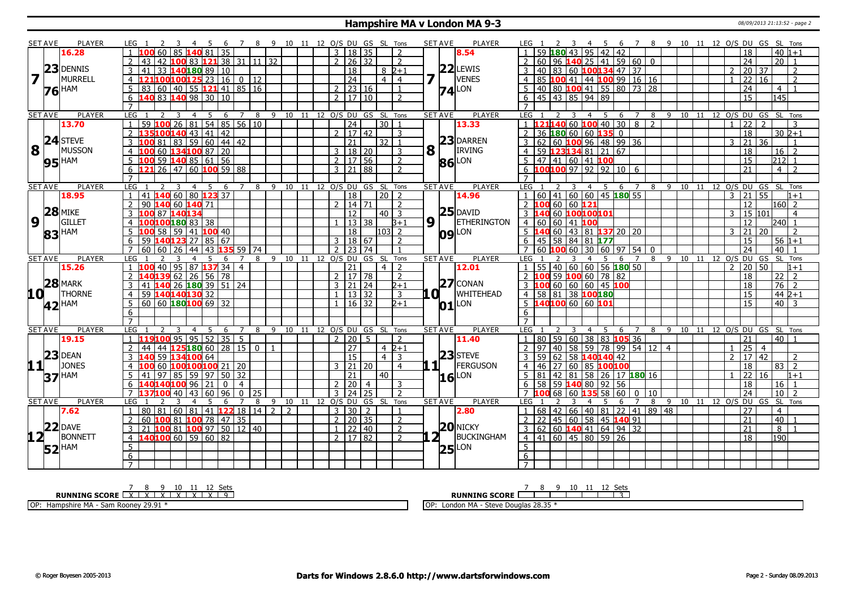#### **Hampshire MA v London MA 9-3** 08/09/2013 21:13:52 - page 2

|                         | <b>SET AVE</b>  | <b>PLAYER</b>       | LEG 1<br>7 8 9 10 11 12 O/S DU GS SL Tons                                                                              |                              |  |                           |                |                                              |   | <b>SET AVE</b> | <b>PLAYER</b>       | 7 8 9 10 11 12 O/S DU GS SL Tons<br>LEG 1<br>-5<br>- 6                                                                                      |
|-------------------------|-----------------|---------------------|------------------------------------------------------------------------------------------------------------------------|------------------------------|--|---------------------------|----------------|----------------------------------------------|---|----------------|---------------------|---------------------------------------------------------------------------------------------------------------------------------------------|
|                         |                 | 16.28               | 81.<br>35<br>60                                                                                                        |                              |  | 3   18   35               |                | $\overline{2}$                               |   |                | 8.54                | $-40 1+1$<br>59180<br>95<br>$42 \mid 42$<br>18<br>43                                                                                        |
|                         |                 |                     | $121$ 38 31 11 32<br>LOO 83<br>42                                                                                      |                              |  | $2 \mid 26 \mid 32$       |                | 2                                            |   |                |                     | 60   96   140   25   41   59   60   0<br>$\overline{24}$<br>$20$   1                                                                        |
|                         | 23              | <b>DENNIS</b>       | 40180 89<br>41<br>33<br>10<br>3                                                                                        |                              |  | 18                        |                | $8\sqrt{2+1}$                                |   |                | $22$ LEWIS          | 83 60 100134 47 37<br>20 37<br>40<br>2                                                                                                      |
| $\overline{\mathbf{z}}$ |                 | <b>MURRELL</b>      | $100100125$ 23   16   0   12<br>4                                                                                      |                              |  | $\overline{24}$           |                | $\overline{4}$<br>4 <sup>1</sup>             | 7 |                | VENES               | 85 100 41 44 100 99 16 16<br>$\overline{22}$<br>$\overline{16}$<br>$\overline{2}$<br>$\overline{4}$                                         |
|                         |                 | <b>HAM</b>          | 60<br>$140$ 55 <b>121</b> 41 85 16<br>5<br>83                                                                          |                              |  | $2$ 23 16                 |                | $\overline{1}$                               |   |                | $74$ <sup>LON</sup> | $\vert$ 40 80 <b>100</b> 41 55 80 73 28<br>$\overline{24}$<br>5.<br>$\overline{4}$<br>$\overline{1}$                                        |
|                         | 76              |                     | 83 140 98 30 10<br>6<br>140                                                                                            |                              |  | $2 \mid 17 \mid 10$       |                | $\overline{2}$                               |   |                |                     | $6 \mid 45 \mid 43 \mid 85 \mid 94 \mid 89$<br>$\overline{15}$<br>145                                                                       |
|                         |                 |                     | $\overline{7}$                                                                                                         |                              |  |                           |                |                                              |   |                |                     |                                                                                                                                             |
|                         | <b>SET AVE</b>  | <b>PLAYER</b>       | <b>LEG</b><br>$\overline{4}$<br>-5<br>6<br>7<br>8<br>3                                                                 | 9 10 11 12 O/S DU GS SL Tons |  |                           |                |                                              |   | <b>SET AVE</b> | <b>PLAYER</b>       | LEG<br>8 9 10 11 12 O/S DU GS SL Tons<br>$\overline{2}$<br>4<br>5<br>6<br>$\overline{7}$<br>3                                               |
|                         |                 | 13.70               | $54$ 85 56 10<br>26 81<br>59<br>$\mathbf{1}$<br>100                                                                    |                              |  | $\overline{24}$           |                | $30\overline{1}$                             |   |                | 13.33               | 1 <b>121140</b> 60 <b>100</b> 40 30 8 2<br>$\overline{22}$<br>$\overline{2}$<br>3<br>$\mathbf{1}$                                           |
|                         |                 |                     | 100140 43 41 42<br>$\overline{2}$<br>135                                                                               |                              |  | 2   17   42               |                | 3                                            |   |                |                     | $\overline{18}$<br>$2$ 36 <b>180</b> 60 60 <b>135</b> 0<br>$30\overline{2+1}$                                                               |
|                         |                 | $24$ STEVE          | $\frac{1}{59}$ 60 44 42<br>3<br>81<br>83                                                                               |                              |  | $\overline{21}$           |                | $32$   1                                     |   |                | 23 DARREN           | $3 62 60 $ 100 96 48 99 36<br>$\overline{21}$<br>२<br>36                                                                                    |
| 8                       | 1 <sup>1</sup>  | MUSSON              | 60 134100 87 20<br>$\overline{4}$                                                                                      |                              |  | 3   18   20               |                | 3                                            | 8 |                | <b>IRVING</b>       | 59 123134 81 21 67<br>$\overline{18}$<br>$16 \mid 2$<br>4 <sup>1</sup>                                                                      |
|                         |                 |                     | $59$ 140 85 61 56<br>5<br>00                                                                                           |                              |  | 2 <sup>1</sup>            | $\sqrt{17}$ 56 | $\overline{2}$                               |   |                |                     | $5 \mid 47 \mid 41 \mid 60 \mid 41 \mid 100$<br>15<br>212                                                                                   |
|                         |                 | $95$ <sup>HAM</sup> | $\overline{26}$<br>  47   60   100 59   88<br>6                                                                        |                              |  | 3 2 1 8 8                 |                | $\overline{2}$                               |   |                | 86 LON              | $6 \overline{100100}$ 97   92   92   10   6<br>21<br>$\overline{4}$                                                                         |
|                         |                 |                     |                                                                                                                        |                              |  |                           |                |                                              |   |                |                     |                                                                                                                                             |
|                         | <b>SET AVE</b>  | PLAYER              | LEG<br>-5<br>8<br>3<br>$\overline{4}$<br>- 6<br>$7^{\circ}$                                                            |                              |  |                           |                | 9 10 11 12 O/S DU GS SL Tons                 |   | <b>SET AVE</b> | PLAYER              | LEG<br>4 5<br>6 7<br>8 9 10 11 12 O/S DU GS<br>SL Tons<br>3                                                                                 |
|                         |                 | 18.95               | 41 140 60 80 123 37                                                                                                    |                              |  | $\overline{18}$           |                | $20 \mid 2$                                  |   |                | 14.96               | 1   60   41   60   60   45   180   55<br>$\sqrt{21}$ 55<br>3<br>$1+1$                                                                       |
|                         |                 |                     | $\overline{2}$<br>90<br>60 140 71<br>140                                                                               |                              |  | 2   14   71               |                | $\overline{z}$                               |   |                |                     | $2$ 100 60 60 121<br>$\overline{12}$<br>160 2                                                                                               |
|                         |                 | $28$ MIKE           | 3<br>87<br>140134                                                                                                      |                              |  | 12                        |                | $40\overline{3}$                             |   |                | $25$ DAVID          | 3 140 60 100100101<br>15 101<br>$\mathcal{E}$<br>$\overline{4}$                                                                             |
| 9                       |                 | <b>GILLET</b>       | 100 <mark>180</mark> 83 38<br>4                                                                                        |                              |  | $13\sqrt{38}$             |                | $B+1$                                        |   | $9\sqrt{1}$    | <b>ETHERINGTON</b>  | 4 60 60 41 100<br>12<br>240I 1                                                                                                              |
|                         |                 |                     | 5<br>58<br>  59   41   <mark>100</mark> 40  <br>100                                                                    |                              |  | $\overline{18}$           |                | $ 103 $ 2                                    |   |                |                     | 5 140 60 43 81 137 20 20<br>$ 21\rangle$<br>3<br>20<br>$\overline{2}$                                                                       |
|                         | 83              | <b>HAM</b>          | 6<br>67                                                                                                                |                              |  | 3   18   67               |                | $\overline{2}$                               |   |                | <b>09</b> LON       | 6 45 58 84 81 177<br>15                                                                                                                     |
|                         |                 |                     | 59<br>140123 27<br>l 85<br>59<br>$\overline{7}$                                                                        |                              |  |                           |                |                                              |   |                |                     | $56 1+1$<br>74                                                                                                                              |
|                         |                 | <b>PLAYER</b>       | 60<br>60<br>26<br>44<br>74<br>LEG<br>8                                                                                 | 9                            |  | 2   23<br>10 11 12 0/S DU | 74             | Tons                                         |   | <b>SET AVE</b> | <b>PLAYER</b>       | 30 60 97 54<br>40<br>$60\,100\,60$<br>$\overline{0}$<br>10 11 12 0/S DU GS SL Tons<br>LEG<br>6<br>$\overline{7}$                            |
|                         | <b>SET AVE</b>  | 15.26               | 6<br>95 87 <b>137</b> 34<br>40<br>$\overline{4}$                                                                       |                              |  | $\overline{21}$           | GS SL          | $\overline{2}$<br>$\overline{4}$             |   |                | 12.01               | 8 9<br>$1 \mid 55 \mid 40 \mid 60 \mid 60 \mid 56$ 180 50<br>$\overline{2}$<br>20 50<br>$1+1$                                               |
|                         |                 |                     | 62<br> 26 56 78                                                                                                        |                              |  | 17 78<br>$2^{\circ}$      |                |                                              |   |                |                     | LOO 59 <mark>100</mark> 60 78 82<br>18<br>$\overline{2}$                                                                                    |
|                         |                 | $28$ MARK           | 26 180 39 51 24                                                                                                        |                              |  | $3 \mid 21 \mid 24$       |                | 2                                            |   |                | $ 27 $ CONAN        | 22<br>3 100 60 60 60 45 100<br>$76$   2                                                                                                     |
|                         |                 | <b>THORNE</b>       | 3<br>41<br>L40                                                                                                         |                              |  | $1 \mid 13 \mid 32$       |                | $2+1$                                        |   | .O I           | <b>WHITEHEAD</b>    | 18<br>4 58 81 38 100 180                                                                                                                    |
|                         | 10 L            |                     | 59 140140130 32<br>$\overline{4}$<br>$\frac{60}{60}$ 60 180 100 69 32                                                  |                              |  |                           |                | $\overline{3}$                               |   |                |                     | 15<br>$44 2+1$<br>$\overline{15}$                                                                                                           |
|                         |                 | 42 <sup>HAM</sup>   | 5                                                                                                                      |                              |  | 1   16   32               |                | 2+1                                          |   |                | $ 01 $ LON          | $5\,$ 140100 60 60 101<br>$40$   3                                                                                                          |
|                         |                 |                     | $6\overline{6}$<br>$\overline{7}$                                                                                      |                              |  |                           |                |                                              |   |                |                     | 6                                                                                                                                           |
|                         |                 |                     |                                                                                                                        |                              |  |                           |                |                                              |   |                | PLAYER              | $\overline{7}$                                                                                                                              |
|                         | <b>SET AVE</b>  | <b>PLAYER</b>       | <b>LEG</b><br>3<br>-5<br>6<br>7<br>8<br>$\overline{4}$<br>95   95   52   35<br>5 <sup>5</sup><br>100<br>$\overline{1}$ | 9                            |  | 2 20                      | -5             | 10 11 12 O/S DU GS SL Tons<br>$\overline{2}$ |   | <b>SET AVE</b> |                     | <b>LEG</b><br>89<br>10 11 12 O/S DU GS SL Tons<br>$\overline{4}$<br>- 5<br>6<br>$\overline{7}$<br>1 80 59 60 38 83 105 36<br>21<br>$40$   1 |
|                         |                 | 19.15               | 125180 60 28 15                                                                                                        |                              |  |                           |                |                                              |   |                | 11.40               | $\overline{25}$<br>$2 \mid 97$                                                                                                              |
|                         | 23              | <b>DEAN</b>         | $\overline{2}$<br>44<br>44<br>0 <sup>1</sup><br>$\overline{59}$                                                        | $\overline{1}$               |  | $\overline{27}$<br>15     |                | $4\;2+1$                                     |   |                | $23$ STEVE          | 40   58   59   78   99   54   12   4<br>1<br>$\overline{4}$                                                                                 |
|                         |                 | <b>JONES</b>        | $\overline{3}$<br>134100 64                                                                                            |                              |  |                           |                | $\overline{3}$<br>$\overline{4}$             |   | 11             | FERGUSON            | 59 62 58 140140 42<br>2<br>17 42<br>3 <sup>1</sup><br>$\overline{2}$                                                                        |
|                         | 11              |                     | 60<br>LOO100 <mark>100</mark> 21  <br>20<br>$\overline{4}$                                                             |                              |  | 3   21   20               |                | $\overline{4}$                               |   |                |                     | 27 60 85 100100<br>18<br>83<br>46<br>$\overline{2}$                                                                                         |
|                         |                 | <b>37 HAM</b>       | 97<br>  85   59   97   50  <br>$\overline{32}$<br>5<br>41                                                              |                              |  | $\overline{21}$           |                | 40                                           |   |                | $16$ <sup>LON</sup> | 22<br>$5   81   42   81   58   26   17   180   16$<br>$\overline{16}$<br>$1 + 1$<br>$\mathbf{1}$                                            |
|                         |                 |                     | 6<br>∣96<br>21<br>100<br>$\mathbf{0}$<br>$\overline{4}$                                                                |                              |  | 2 20                      | $\overline{4}$ | 3                                            |   |                |                     | 58 59 140 80 92 56<br>6<br>18<br>16<br>$\mathbf{1}$                                                                                         |
|                         |                 |                     | $\overline{7}$<br>96<br>40<br>43<br>60<br>$\Omega$<br>25<br>137100                                                     |                              |  | $\overline{3}$            | 24 25          | $\overline{2}$                               |   |                |                     | 68 60 135 58 60<br>24<br>$\overline{10}$<br><b>7</b> 100<br>10<br>$\overline{2}$<br>$\mathbf{0}$                                            |
|                         | <b>SET AVE</b>  | <b>PLAYER</b>       | <b>LEG</b><br>5<br>6<br>8                                                                                              | 9                            |  | 10 11 12 O/S DU           |                | GS SL Tons                                   |   | <b>SET AVE</b> | <b>PLAYER</b>       | 9 10 11 12 O/S DU GS<br>SL Tons<br>LEG<br>8<br>6                                                                                            |
|                         |                 | 7.62                | 80 81<br> 60 81 <br>  41   <mark>122</mark>   18   14   2   2<br>$\overline{1}$                                        |                              |  | 3   30                    | 2              | $\overline{1}$                               |   |                | 2.80                | $1   68   42   66   40   81   22   41   89   48$<br>27<br>$\overline{4}$                                                                    |
|                         |                 | $22$ DAVE           | 81 100 78 47<br>60<br>35<br>2<br>100                                                                                   |                              |  | 2 l                       | 20 35          | $\overline{2}$                               |   |                |                     | 2 2 45 60 58 45 140 91<br>40<br>21                                                                                                          |
|                         |                 |                     | 100 81 100 97 50 12 40<br>3<br>21                                                                                      |                              |  | 1 22 40                   |                | 2                                            |   |                | $20$ NICKY          | 3   62   60   140   41   64   94   32<br>21<br>8                                                                                            |
|                         | 12 <sub>1</sub> | <b>BONNETT</b>      | 140100 60 59 60 82<br>$\overline{4}$                                                                                   |                              |  | 2   17   82               |                | $\overline{2}$                               |   | 2 <sub>1</sub> | BUCKINGHAM          | $4 \overline{)41 \overline{)60 \overline{45}} 80 \overline{59} \overline{26}$<br> 190 <br>18                                                |
|                         |                 | $52$ <sup>HAM</sup> | 5                                                                                                                      |                              |  |                           |                |                                              |   |                | $25$ <sup>LON</sup> | 5                                                                                                                                           |
|                         |                 |                     | $6\overline{6}$                                                                                                        |                              |  |                           |                |                                              |   |                |                     | 6                                                                                                                                           |
|                         |                 |                     | $\overline{7}$                                                                                                         |                              |  |                           |                |                                              |   |                |                     | $7^{\circ}$                                                                                                                                 |

<u>7 8 9 10 11 12 Sets</u><br>RUNNING SCORE <u>EXEXTX EXEXTX E 9</u>

OP: Hampshire MA - Sam Rooney 29.91 \*

**RUNNING SCORE** 2 8 9 10 11 12 Sets

OP: London MA - Steve Douglas 28.35 \*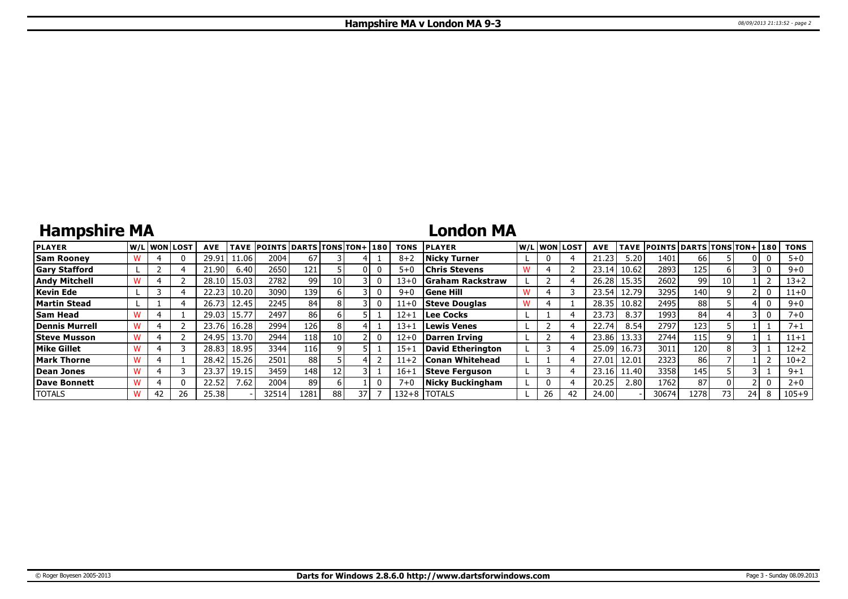## **Hampshire MA**

### **London MA**

| <b>PLAYER</b>        |    | W/Liwonilost! | <b>AVE</b> | <b>TAVE</b> | <b>POINTS DARTS TONS TON+1180</b> |     |      |    | <b>TONS</b> | <b>PLAYER</b>           |    | W/Liwonilost | <b>AVE</b> |       | TAVE POINTS DARTS TONS TON+ 180 |      |    |      | <b>TONS</b> |
|----------------------|----|---------------|------------|-------------|-----------------------------------|-----|------|----|-------------|-------------------------|----|--------------|------------|-------|---------------------------------|------|----|------|-------------|
| <b>Sam Roonev</b>    |    |               | 29.91      | 1.06        | 2004                              | 67  |      |    | $8 + 2$     | <b>Nicky Turner</b>     |    |              | 21.23      | 5.20  | 1401                            | 66   |    |      | $5+0$       |
| <b>Gary Stafford</b> |    |               | .90        | 6.40        | 2650                              | 121 |      |    | $5 + C$     | <b>Chris Stevens</b>    |    |              | 23.14      | 10.62 | 2893                            | 125  |    |      | $9 + 0$     |
| <b>Andy Mitchell</b> |    |               | 28.10      | 15.03       | 2782                              | 99  | 10   |    | 13+0        | <b>Graham Rackstraw</b> |    |              | 26.28      | 15.35 | 2602                            | 99   | 10 |      | $13 + 2$    |
| Kevin Ede            |    |               | 22.23      | 10.20       | 3090                              | 139 |      |    | $9 + 0$     | <b>Gene Hill</b>        |    |              | 23.54      | 12.79 | 3295                            | 140  |    |      | $11+0$      |
| Martin Stead         |    |               | 26.73      | 12.45       | 2245                              | 84  |      |    | 11+0        | <b>Steve Douglas</b>    |    |              | 28.35      | 10.82 | 2495                            | 88   |    |      | $9 + 0$     |
| <b>Sam Head</b>      |    |               | 29.03      | 15.77       | 2497                              | 86  |      |    | $12 + 1$    | Lee Cocks               |    |              | 23.73      | 8.37  | 1993                            | 84   |    |      | $7+0$       |
| Dennis Murrell       |    |               | 23.76      | 16.28       | 2994                              | 126 |      |    | $13 + 1$    | Lewis Venes             |    |              | 22.74      | 8.54  | 2797                            | 123  |    |      | $7 + 1$     |
| <b>Steve Musson</b>  |    |               | 24.95      | 13.70       | 2944                              | 118 | 10 I |    | $12 + 0$    | Darren Irving           |    |              | 23.86      | 13.33 | 2744                            | 115  |    |      | $11 + 1$    |
| <b>Mike Gillet</b>   |    |               | 28.83      | 18.95       | 3344                              | 116 |      |    | $15 + 1$    | David Etherington       |    |              | 25.09      | 16.73 | 3011                            | 120  |    |      | $12 + 2$    |
| <b>Mark Thorne</b>   |    |               | 28.42      | 15.26       | 2501                              | 88  |      |    | 11+2        | <b>Conan Whitehead</b>  |    |              | 27.0       | 12.01 | 2323                            | 86   |    |      | $10 + 2$    |
| Dean Jones           |    |               | 23.37      | 19.15       | 3459                              | 148 |      |    | $16 + 1$    | Steve Ferguson          |    |              | 23.16      | 11.40 | 3358                            | 145  |    |      | $9 + 1$     |
| Dave Bonnett         |    | 0             | 22.52      | 7.62        | 2004                              | 89  |      |    | $7 + C$     | <b>Nicky Buckingham</b> |    |              | 20.25      | 2.80  | 1762                            | 87   |    |      | $2 + 0$     |
| <b>TOTALS</b>        | 42 | 26            | 25.38      |             | 32514                             | 281 | 88   | 37 | $132 + 8$   | <b>I</b> TOTALS         | 26 | 42           | 24.00      |       | 30674                           | 1278 | 73 | 24 I | $105 + 9$   |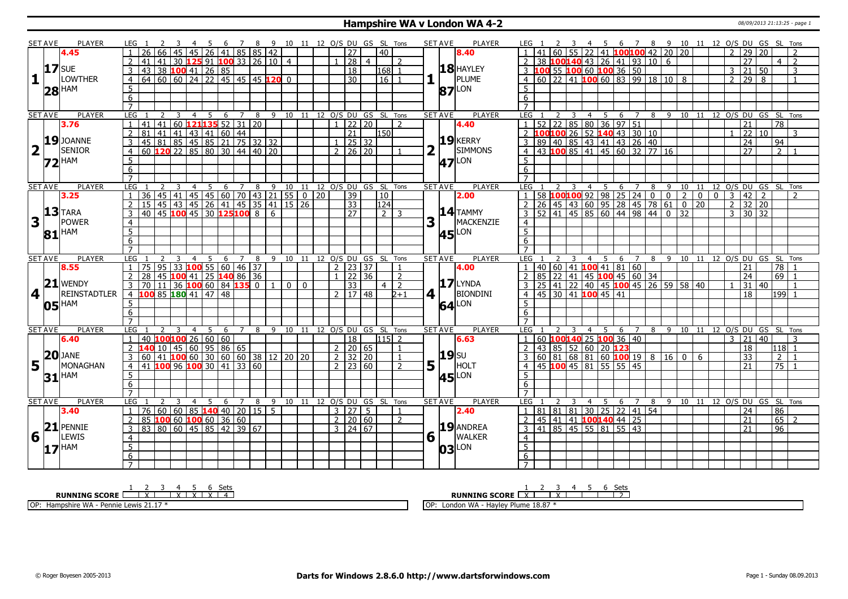#### **Hampshire WA v London WA 4-2** 08/09/2013 21:13:25 - page 1

|                         | <b>SET AVE</b> | PLAYER              | LEG 1                             |                                                                                                                        | -3           |                |                | 4 5 6 7 8 9 10 11 12 O/S DU GS SL Tons |                 |   |                                |                  |          |                              |                     |                |                  |                |             | <b>SET AVE</b><br>PLAYER        | LEG 1                             |        |     |                                  |     |   |                                                             |  | 2 3 4 5 6 7 8 9 10 11 12 O/S DU GS SL Tons                                                 |     |                |    |                     |                                        |                 |                |
|-------------------------|----------------|---------------------|-----------------------------------|------------------------------------------------------------------------------------------------------------------------|--------------|----------------|----------------|----------------------------------------|-----------------|---|--------------------------------|------------------|----------|------------------------------|---------------------|----------------|------------------|----------------|-------------|---------------------------------|-----------------------------------|--------|-----|----------------------------------|-----|---|-------------------------------------------------------------|--|--------------------------------------------------------------------------------------------|-----|----------------|----|---------------------|----------------------------------------|-----------------|----------------|
|                         |                | 4.45                |                                   | 66                                                                                                                     |              | l 45 l         |                | 26   41   85   85   42                 |                 |   |                                |                  |          |                              | 27                  |                | 40               |                |             | 8.40                            |                                   | l 60 l |     |                                  |     |   | 55 22 41 100100 42 20 20                                    |  |                                                                                            |     |                |    | 29 20               |                                        |                 |                |
|                         |                |                     |                                   | 41 I<br>41                                                                                                             |              |                |                | 30 <b>125</b> 91 <b>100</b> 33 26 10 4 |                 |   |                                |                  |          |                              | 28                  | $\overline{4}$ |                  | $\overline{2}$ |             |                                 | 2                                 |        |     |                                  |     |   | 38 100140 43 26 41 93 10 6                                  |  |                                                                                            |     |                |    | $\overline{27}$     |                                        | $\overline{4}$  | $\overline{2}$ |
|                         | $17$ SUE       |                     | 3                                 | 43 38 100 41 26 85                                                                                                     |              |                |                |                                        |                 |   |                                |                  |          |                              | 18                  |                | 168 1            |                |             | <b>18 HAYLEY</b>                |                                   |        |     |                                  |     |   | 3 100 55 100 60 100 36 50                                   |  |                                                                                            |     | $\mathbf{3}$   |    | $21 \overline{50}$  |                                        |                 | 3              |
| 1                       |                | LOWTHER             | $\overline{4}$                    | $64$ 60 60 24 22 45 45 45 120 0                                                                                        |              |                |                |                                        |                 |   |                                |                  |          |                              | 30                  |                | $16$ $1$         |                |             | PLUME                           |                                   |        |     |                                  |     |   | 4 60 22 41 100 60 83 99 18 10 8                             |  |                                                                                            |     |                |    | $2 \ 29 \ 8$        |                                        |                 | $\mathbf{1}$   |
|                         |                |                     | 5                                 |                                                                                                                        |              |                |                |                                        |                 |   |                                |                  |          |                              |                     |                |                  |                |             |                                 | 5 <sup>1</sup>                    |        |     |                                  |     |   |                                                             |  |                                                                                            |     |                |    |                     |                                        |                 |                |
|                         |                | $28$ <sup>HAM</sup> | 6                                 |                                                                                                                        |              |                |                |                                        |                 |   |                                |                  |          |                              |                     |                |                  |                |             | <b>87</b> LON                   | 6                                 |        |     |                                  |     |   |                                                             |  |                                                                                            |     |                |    |                     |                                        |                 |                |
|                         |                |                     | $\overline{7}$                    |                                                                                                                        |              |                |                |                                        |                 |   |                                |                  |          |                              |                     |                |                  |                |             |                                 | $\overline{7}$                    |        |     |                                  |     |   |                                                             |  |                                                                                            |     |                |    |                     |                                        |                 |                |
|                         | <b>SET AVE</b> | PLAYER              | LEG                               | 2                                                                                                                      | - 3          | $\overline{4}$ |                | 5 6 7 8 9 10 11 12 O/S DU GS SL Tons   |                 |   |                                |                  |          |                              |                     |                |                  |                |             | <b>PLAYER</b><br><b>SET AVE</b> | LEG                               |        | 2 3 |                                  |     |   |                                                             |  | 4 5 6 7 8 9 10 11 12 O/S DU GS SL Tons                                                     |     |                |    |                     |                                        |                 |                |
|                         |                | 3.76                |                                   | 41                                                                                                                     |              |                |                | 41 60 <b>121 135</b> 52 31 20          |                 |   |                                |                  |          | $\mathbf{1}$                 | $122$ 20            |                |                  | $\overline{2}$ |             | 4.40                            |                                   |        |     |                                  |     |   | $1 \mid 52 \mid 22 \mid 85 \mid 80 \mid 36 \mid 97 \mid 51$ |  |                                                                                            |     |                | 21 |                     |                                        | $\overline{78}$ |                |
|                         |                |                     | $\mathcal{P}$                     | $81 \mid 41 \mid 41 \mid 43 \mid 41 \mid 60 \mid 44$                                                                   |              |                |                |                                        |                 |   |                                |                  |          |                              | $\overline{21}$     |                | 150 <sup>1</sup> |                |             |                                 |                                   |        |     |                                  |     |   | 2 100100 26 52 140 43 30 10                                 |  |                                                                                            |     |                |    | 22 10               |                                        |                 | 3              |
|                         |                | $19$ JOANNE         |                                   |                                                                                                                        |              |                |                |                                        |                 |   |                                |                  |          |                              |                     |                |                  |                |             | $19$ <b>KERRY</b>               |                                   |        |     |                                  |     |   |                                                             |  |                                                                                            |     |                |    | $\overline{24}$     |                                        |                 |                |
|                         |                | <b>SENIOR</b>       | 3                                 | 45 81 85 45 85 21 75 32 32                                                                                             |              |                |                |                                        |                 |   |                                |                  |          |                              | 25 32               |                |                  |                |             | <b>SIMMONS</b>                  |                                   |        |     |                                  |     |   |                                                             |  |                                                                                            |     |                |    | $\overline{27}$     |                                        | 94              |                |
| $\overline{\mathbf{2}}$ |                |                     | $\overline{4}$                    | 60 120 22 85 80 30 44 40 20                                                                                            |              |                |                |                                        |                 |   |                                |                  |          |                              | $2 \mid 26 \mid 20$ |                |                  |                |             |                                 |                                   |        |     |                                  |     |   |                                                             |  |                                                                                            |     |                |    |                     |                                        | $\mathcal{P}$   |                |
|                         |                | <b>72 HAM</b>       | 5                                 |                                                                                                                        |              |                |                |                                        |                 |   |                                |                  |          |                              |                     |                |                  |                |             | <b>47</b> LON                   | 5                                 |        |     |                                  |     |   |                                                             |  |                                                                                            |     |                |    |                     |                                        |                 |                |
|                         |                |                     | 6                                 |                                                                                                                        |              |                |                |                                        |                 |   |                                |                  |          |                              |                     |                |                  |                |             |                                 | 6                                 |        |     |                                  |     |   |                                                             |  |                                                                                            |     |                |    |                     |                                        |                 |                |
|                         |                |                     | $\overline{7}$                    |                                                                                                                        |              |                |                |                                        |                 |   |                                |                  |          |                              |                     |                |                  |                |             |                                 | $\overline{7}$                    |        |     |                                  |     |   |                                                             |  |                                                                                            |     |                |    |                     |                                        |                 |                |
|                         | <b>SET AVE</b> | <b>PLAYER</b>       | LEG                               |                                                                                                                        |              | $\overline{4}$ | 5 <sup>5</sup> | 6                                      | $7\overline{ }$ | 8 |                                |                  |          | 9 10 11 12 O/S DU GS SL Tons |                     |                |                  |                |             | <b>SET AVE</b><br><b>PLAYER</b> | LEG                               |        |     | $\overline{4}$                   | 5   | 6 | $\overline{7}$                                              |  | 8 9 10 11                                                                                  |     |                |    |                     | 12 O/S DU GS SL Tons                   |                 |                |
|                         |                | 3.25                |                                   | 1 36 45 41 45 45 60 70 43 21 55 0 120<br>15 45 43 45 26 41 45 35 41 15 26<br>40 45 <b>100</b> 45 30 <b>125 100</b> 8 6 |              |                |                |                                        |                 |   |                                |                  |          |                              | 39                  |                | $ 10\rangle$     |                |             | 2.00                            |                                   |        |     |                                  |     |   |                                                             |  | 1 58 <b>100 100</b> 92 98 25 24 0 0 2 0<br>2 26 45 43 60 95 28 45 78 61 0 20<br>$\sqrt{2}$ | 0 I | l 3            |    | 42                  | 2                                      |                 | $\mathcal{P}$  |
|                         |                |                     | $\overline{2}$                    |                                                                                                                        |              |                |                |                                        |                 |   |                                |                  |          |                              | 33                  |                | 124              |                |             |                                 |                                   |        |     |                                  |     |   |                                                             |  |                                                                                            |     | $\overline{2}$ |    | $32$ 20             |                                        |                 |                |
|                         |                | $13$ TARA           | 3                                 |                                                                                                                        |              |                |                |                                        |                 |   |                                |                  |          |                              | $\overline{27}$     |                | $\sqrt{2}$ 3     |                |             | $14$ TAMMY                      |                                   |        |     |                                  |     |   |                                                             |  | $3   52   41   45   85   60   44   98   44   0   32$                                       |     |                |    | $3 \mid 30 \mid 32$ |                                        |                 |                |
| 3                       |                | <b>POWER</b>        | $\overline{4}$                    |                                                                                                                        |              |                |                |                                        |                 |   |                                |                  |          |                              |                     |                |                  |                | 3           | MACKENZIE                       | $\overline{4}$                    |        |     |                                  |     |   |                                                             |  |                                                                                            |     |                |    |                     |                                        |                 |                |
|                         |                | $81$ <sup>HAM</sup> | $\overline{5}$                    |                                                                                                                        |              |                |                |                                        |                 |   |                                |                  |          |                              |                     |                |                  |                |             | <b>45</b> LON                   | $\overline{5}$                    |        |     |                                  |     |   |                                                             |  |                                                                                            |     |                |    |                     |                                        |                 |                |
|                         |                |                     | $\overline{6}$                    |                                                                                                                        |              |                |                |                                        |                 |   |                                |                  |          |                              |                     |                |                  |                |             |                                 | 6                                 |        |     |                                  |     |   |                                                             |  |                                                                                            |     |                |    |                     |                                        |                 |                |
|                         |                |                     | $\overline{7}$                    |                                                                                                                        |              |                |                |                                        |                 |   |                                |                  |          |                              |                     |                |                  |                |             |                                 | $\overline{7}$                    |        |     |                                  |     |   |                                                             |  |                                                                                            |     |                |    |                     |                                        |                 |                |
| <b>SET AVE</b>          |                |                     |                                   |                                                                                                                        |              |                |                |                                        |                 |   |                                |                  |          |                              |                     |                |                  |                |             | <b>PLAYER</b><br><b>SET AVE</b> | LEG                               |        |     |                                  |     |   |                                                             |  |                                                                                            |     |                |    |                     | 4 5 6 7 8 9 10 11 12 O/S DU GS SL Tons |                 |                |
|                         |                | <b>PLAYER</b>       | LEG <sub>1</sub>                  |                                                                                                                        |              |                |                | 4 5 6 7 8 9 10 11 12 O/S DU GS SL Tons |                 |   |                                |                  |          |                              |                     |                |                  |                |             |                                 |                                   |        |     |                                  |     |   |                                                             |  |                                                                                            |     |                |    |                     |                                        |                 |                |
|                         |                | 8.55                |                                   | 75 95 33 100 55 60 46 37                                                                                               |              |                |                |                                        |                 |   |                                |                  |          |                              | $2 \mid 23 \mid 37$ |                |                  |                |             | 4.00                            |                                   |        |     |                                  |     |   | 1   40   60   41   100   41   81   60                       |  |                                                                                            |     |                | 21 |                     |                                        | $\overline{78}$ |                |
|                         |                |                     |                                   | 28                                                                                                                     |              |                |                | 45   100   41   25   140   86   36     |                 |   |                                |                  |          |                              | 22   36             |                |                  | $\overline{2}$ |             |                                 |                                   |        |     |                                  |     |   | 85   22   41   45 <b>100</b>   45   60   34                 |  |                                                                                            |     |                |    | 24                  |                                        | 69              |                |
|                         |                | $21$ WENDY          | 3                                 | 70 11 36 100 60 84 135 0 1                                                                                             |              |                |                |                                        |                 |   |                                | $\overline{0}$ 1 | $\Omega$ |                              | 33                  |                | 4 <sup>1</sup>   | $\overline{z}$ |             | $17$ LYNDA                      |                                   |        |     |                                  |     |   |                                                             |  | 3 25 41 22 40 45 100 45 26 59 58 40                                                        |     | $\overline{1}$ |    | 31 40               |                                        |                 |                |
| 4                       |                | <b>REINSTADTLER</b> |                                   | $-4$ 100 85 180 41 47 48                                                                                               |              |                |                |                                        |                 |   |                                |                  |          |                              | 2 1 1 7 1 4 8       |                |                  | $2+1$          | 4 1         | <b>BIONDINI</b>                 |                                   |        |     | 4 45 30 41 100 45 41             |     |   |                                                             |  |                                                                                            |     |                |    | 18                  |                                        | 199 1           |                |
|                         |                |                     | 5 <sup>2</sup>                    |                                                                                                                        |              |                |                |                                        |                 |   |                                |                  |          |                              |                     |                |                  |                |             |                                 | $5^{\circ}$                       |        |     |                                  |     |   |                                                             |  |                                                                                            |     |                |    |                     |                                        |                 |                |
|                         |                | $05$ <sup>HAM</sup> | 6                                 |                                                                                                                        |              |                |                |                                        |                 |   |                                |                  |          |                              |                     |                |                  |                |             | $64$ <sup>LON</sup>             | 6                                 |        |     |                                  |     |   |                                                             |  |                                                                                            |     |                |    |                     |                                        |                 |                |
|                         |                |                     | $\overline{7}$                    |                                                                                                                        |              |                |                |                                        |                 |   |                                |                  |          |                              |                     |                |                  |                |             |                                 | $\overline{7}$                    |        |     |                                  |     |   |                                                             |  |                                                                                            |     |                |    |                     |                                        |                 |                |
|                         | <b>SET AVE</b> | PLAYER              | <b>LEG</b>                        |                                                                                                                        | $\mathbf{R}$ | $\overline{4}$ | -5             |                                        | 6 7             |   | 8 9 10 11 12 O/S DU GS SL Tons |                  |          |                              |                     |                |                  |                |             | PLAYER<br><b>SET AVE</b>        | <b>LEG</b>                        |        |     |                                  | 4 5 |   |                                                             |  | 6 7 8 9 10 11 12 O/S DU GS SL Tons                                                         |     |                |    |                     |                                        |                 |                |
|                         |                | 6.40                | $\mathbf{1}$                      | 40 100 100 26 60 60                                                                                                    |              |                |                |                                        |                 |   |                                |                  |          |                              | $\overline{18}$     |                | $115$ 2          |                |             | 6.63                            |                                   |        |     |                                  |     |   | $1   60$ 100140 25 100 36 40                                |  |                                                                                            |     | $\overline{3}$ |    | $\overline{21}$     | $ 40\rangle$                           |                 | 3              |
|                         |                |                     | $2^{\circ}$                       |                                                                                                                        |              |                |                |                                        |                 |   |                                |                  |          |                              |                     |                |                  | $\overline{1}$ |             |                                 |                                   |        |     |                                  |     |   |                                                             |  |                                                                                            |     |                |    |                     |                                        | 118 1           |                |
|                         |                | $20$ JANE           | 3                                 | $140$ 10 45 60 95 86 65<br>60                                                                                          |              |                |                |                                        |                 |   |                                |                  |          | 2   20   65                  |                     |                |                  | $\overline{1}$ |             | <b>19</b> SU                    |                                   |        |     | 2   43   85   52   60   20   123 |     |   |                                                             |  |                                                                                            |     |                |    | 18<br>33            |                                        | $2^{\circ}$     |                |
|                         | l L            | MONAGHAN            | $\overline{4}$                    |                                                                                                                        |              |                |                | 41 100 60 30 60 60 38 12 20 20         |                 |   |                                |                  |          | $2 \mid 32 \mid 20$          | $2 \mid 23 \mid 60$ |                |                  | $\overline{2}$ |             | HOLT                            |                                   |        |     |                                  |     |   |                                                             |  |                                                                                            |     |                |    | 21                  |                                        | 75              |                |
| 5                       |                |                     |                                   | 41 100 96 100 30 41 33 60                                                                                              |              |                |                |                                        |                 |   |                                |                  |          |                              |                     |                |                  |                |             | $5^{\mid \cdot \mid}$           |                                   |        |     |                                  |     |   | 4 4 5 100 45 81 55 55 45                                    |  |                                                                                            |     |                |    |                     |                                        |                 |                |
|                         |                | $31$ <sup>HAM</sup> | 5                                 |                                                                                                                        |              |                |                |                                        |                 |   |                                |                  |          |                              |                     |                |                  |                |             | <b>45</b> LON                   | 5                                 |        |     |                                  |     |   |                                                             |  |                                                                                            |     |                |    |                     |                                        |                 |                |
|                         |                |                     | 6                                 |                                                                                                                        |              |                |                |                                        |                 |   |                                |                  |          |                              |                     |                |                  |                |             |                                 | 6                                 |        |     |                                  |     |   |                                                             |  |                                                                                            |     |                |    |                     |                                        |                 |                |
|                         |                |                     | $\overline{7}$                    |                                                                                                                        | 3            | $\overline{4}$ |                |                                        |                 |   |                                |                  |          |                              |                     |                |                  |                |             |                                 |                                   |        |     |                                  |     |   |                                                             |  |                                                                                            |     |                |    |                     |                                        |                 |                |
|                         | <b>SET AVE</b> | PLAYER              | LEG<br>$\mathbf{1}$               |                                                                                                                        |              |                | 5 <sup>5</sup> |                                        | 6 7             | 8 |                                |                  |          | 9 10 11 12 O/S DU GS SL Tons |                     |                |                  | $\mathbf{1}$   |             | PLAYER<br><b>SET AVE</b>        | <b>LEG</b>                        |        |     |                                  | 4 5 |   | 6 7                                                         |  | 8 9 10 11 12 O/S DU GS SL Tons                                                             |     |                |    |                     |                                        |                 |                |
|                         |                | 3.40                |                                   | 76 60 60 85 140 40 20 15 5                                                                                             |              |                |                |                                        |                 |   |                                |                  |          |                              | $3 \mid 27 \mid 5$  |                |                  |                |             | 2.40                            |                                   |        |     |                                  |     |   | $1   81   81   81   30   25   22   41   54$                 |  |                                                                                            |     |                |    | 24                  |                                        | 86              | $\overline{2}$ |
|                         |                |                     | $\overline{2}$                    |                                                                                                                        |              |                |                |                                        |                 |   |                                |                  |          | $2 \ 20 \ 60$                |                     |                |                  | $\overline{2}$ |             |                                 | $\overline{2}$                    |        |     |                                  |     |   | 45 41 41 100140 44 25                                       |  |                                                                                            |     |                |    | 21<br>21            |                                        | 65              |                |
|                         |                | $21$ PENNIE         | $\overline{3}$                    | 85 100 60 100 60 36 60<br>83 80 60 45 85 42 39 67                                                                      |              |                |                |                                        |                 |   |                                |                  |          | $3 \mid 24 \mid 67$          |                     |                |                  |                |             | 19 ANDREA                       |                                   |        |     |                                  |     |   | 3   41   85   45   55   81   55   43                        |  |                                                                                            |     |                |    |                     |                                        | 96              |                |
| 6                       | $\mathbf{I}$   | LEWIS               | $\overline{4}$                    |                                                                                                                        |              |                |                |                                        |                 |   |                                |                  |          |                              |                     |                |                  |                | $6\sqrt{ }$ | <b>WALKER</b>                   | $\overline{4}$                    |        |     |                                  |     |   |                                                             |  |                                                                                            |     |                |    |                     |                                        |                 |                |
|                         |                | $17$ <sup>HAM</sup> | $\overline{5}$                    |                                                                                                                        |              |                |                |                                        |                 |   |                                |                  |          |                              |                     |                |                  |                |             | LON<br>03                       | $\overline{5}$                    |        |     |                                  |     |   |                                                             |  |                                                                                            |     |                |    |                     |                                        |                 |                |
|                         |                |                     | $6\overline{6}$<br>$\overline{7}$ |                                                                                                                        |              |                |                |                                        |                 |   |                                |                  |          |                              |                     |                |                  |                |             |                                 | $6\overline{6}$<br>$\overline{7}$ |        |     |                                  |     |   |                                                             |  |                                                                                            |     |                |    |                     |                                        |                 |                |

**RUNNING SCORE**  $\begin{array}{|c|c|c|c|c|}\n\hline\n & 2 & 3 & 4 & 5 & 6 & \text{Sets} \\
\hline\n\end{array}$ OP: Hampshire WA - Pennie Lewis 21.17 \*

**RUNNING SCORE** 2 2 3 4 5 6 Sets

OP: London WA - Hayley Plume 18.87 \*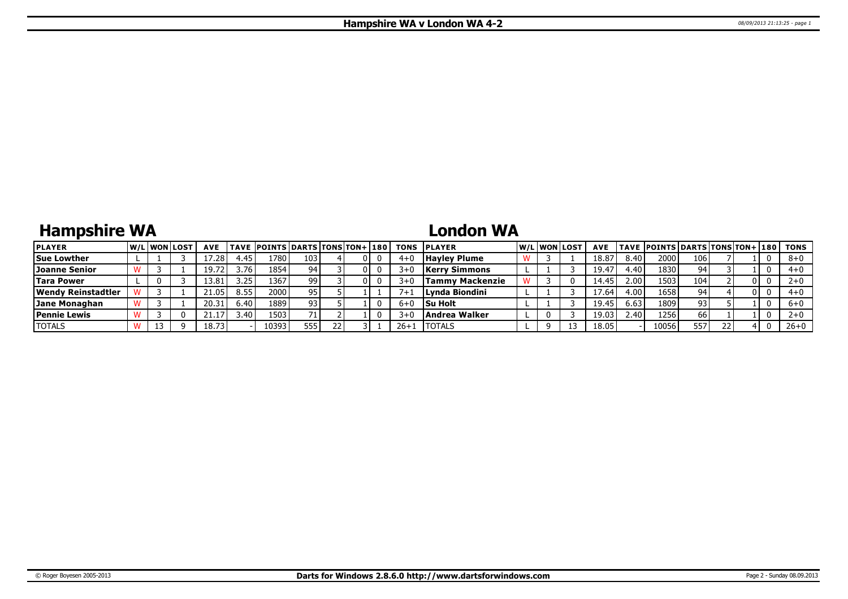# **Hampshire WA**

## **London WA**

| <b>PLAYER</b>        |  | <b>W/Liwonilost</b> | <b>AVE</b> |      | <b>TAVE POINTS DARTS TONS TON+ 180</b> |     |  |         | <b>TONS PLAYER</b>   | W/L WON LOST | <b>AVE</b> |      | TAVE  POINTS   DARTS   TONS   TON+   180 |                  |    |  | TONS     |
|----------------------|--|---------------------|------------|------|----------------------------------------|-----|--|---------|----------------------|--------------|------------|------|------------------------------------------|------------------|----|--|----------|
| <b>Sue Lowther</b>   |  |                     | .28        | 4.45 | 1780                                   | 103 |  | 4+ı     | <b>Havley Plume</b>  |              | 18.87      | 8.40 | 2000                                     | 106 <sub>1</sub> |    |  | $8+0$    |
| <b>Joanne Senior</b> |  |                     | 19.72      | 3.76 | 1854                                   | 94  |  | 3+0     | <b>Kerry Simmons</b> |              | 19.4       | 4.40 | 1830                                     |                  |    |  | $4+0$    |
| <b>Tara Power</b>    |  |                     | 13.81      | 3.25 | 1367                                   | 99  |  | $3 + C$ | Tammy Mackenzie      |              | 14.45      | 2.00 | 1503                                     | 104              |    |  | $2+0$    |
| Wendy Reinstadtler   |  |                     | 21.05      | 8.55 | 2000                                   | 95  |  |         | Lynda Biondini       |              | 17.64      | 4.00 | 1658                                     |                  |    |  | 4+0      |
| Jane Monaghan        |  |                     | 20.31      | 6.40 | 1889                                   | 93. |  | $6 + C$ | <b>Su Holt</b>       |              | 19.45      | 6.63 | 1809                                     | 93               |    |  | $6+0$    |
| <b>Pennie Lewis</b>  |  |                     | 41.I       | 3.40 | 1503                                   |     |  | $3 + 1$ | <b>Andrea Walker</b> |              | 19.03      | 2.40 | 1256                                     | 66               |    |  | $2+0$    |
| <b>TOTALS</b>        |  |                     | 18.73      |      | 10393                                  | 555 |  | 26+1    | <b>ITOTALS</b>       |              | 18.05      |      | 10056                                    | 557              | 22 |  | $26 + 0$ |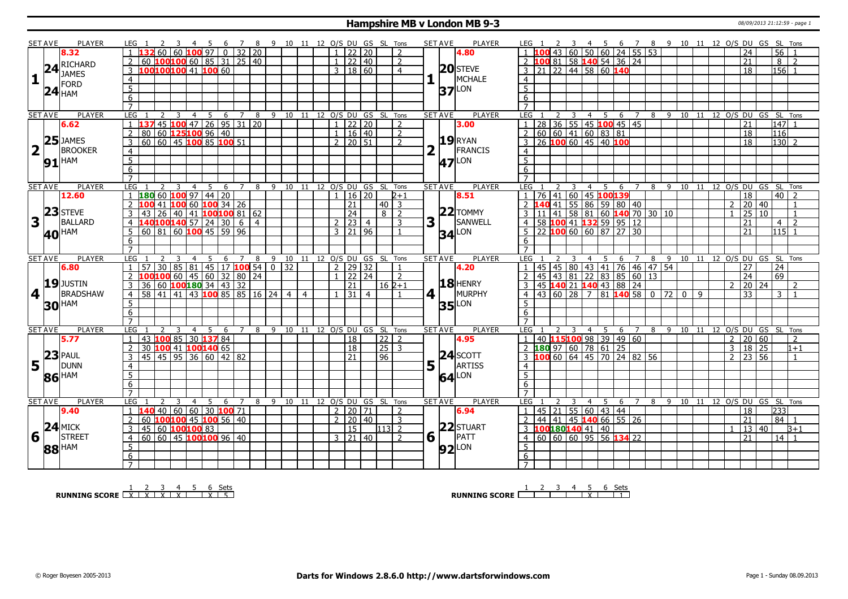#### **Hampshire MB v London MB 9-3** 08/09/2013 21:12:59 - page 1

|                         | SET AVE        | <b>PLAYER</b>       | LEG 1                                               |                | 4 5 6 7 8 9 10 11 12 O/S DU GS SL Tons        |                |     |                                    |  |                |                          |                      |                |             | <b>SET AVE</b><br>PLAYER        | LEG 1                               |    | -3                               |     |                                                                             |                |   |         |                     |              | 4 5 6 7 8 9 10 11 12 O/S DU GS SL Tons |                                |                  |                |
|-------------------------|----------------|---------------------|-----------------------------------------------------|----------------|-----------------------------------------------|----------------|-----|------------------------------------|--|----------------|--------------------------|----------------------|----------------|-------------|---------------------------------|-------------------------------------|----|----------------------------------|-----|-----------------------------------------------------------------------------|----------------|---|---------|---------------------|--------------|----------------------------------------|--------------------------------|------------------|----------------|
|                         |                | 8.32                |                                                     |                | 60   60   <mark>100</mark>   97   0   32   20 |                |     |                                    |  |                | 22   20                  |                      | 2              |             | 4.80                            |                                     |    |                                  |     | 43 60 50 60 24 55 53                                                        |                |   |         |                     |              | 24                                     |                                | $\overline{56}$  |                |
|                         |                |                     | 60                                                  |                | $100100$ 60   85   31   25   40               |                |     |                                    |  |                | 22 40                    |                      | $\overline{2}$ |             |                                 |                                     |    |                                  |     | 00 81 58 140 54 36 24                                                       |                |   |         |                     |              | 21                                     |                                | 8 <sup>1</sup>   | $\overline{2}$ |
|                         |                |                     | 100100100 41 100 60<br>3                            |                |                                               |                |     |                                    |  |                | 3   18   60              |                      | $\overline{4}$ |             | 20 STEVE                        | $\overline{3}$                      |    | 21 22 44 58 60 140               |     |                                                                             |                |   |         |                     |              | $\overline{18}$                        |                                | 156              |                |
|                         |                | 24 RICHARD          |                                                     |                |                                               |                |     |                                    |  |                |                          |                      |                |             | MCHALE                          |                                     |    |                                  |     |                                                                             |                |   |         |                     |              |                                        |                                |                  |                |
| $\mathbf{1}$            |                | <b>FORD</b>         | $\overline{4}$                                      |                |                                               |                |     |                                    |  |                |                          |                      |                |             |                                 | $\overline{4}$                      |    |                                  |     |                                                                             |                |   |         |                     |              |                                        |                                |                  |                |
|                         |                | $24$ <sub>HAM</sub> | $\overline{5}$                                      |                |                                               |                |     |                                    |  |                |                          |                      |                |             | $37$ <sup>LON</sup>             | $\overline{5}$                      |    |                                  |     |                                                                             |                |   |         |                     |              |                                        |                                |                  |                |
|                         |                |                     | 6                                                   |                |                                               |                |     |                                    |  |                |                          |                      |                |             |                                 | 6                                   |    |                                  |     |                                                                             |                |   |         |                     |              |                                        |                                |                  |                |
|                         |                |                     | $\overline{7}$                                      |                |                                               |                |     |                                    |  |                |                          |                      |                |             |                                 | $\overline{7}$                      |    |                                  |     |                                                                             |                |   |         |                     |              |                                        |                                |                  |                |
|                         | <b>SET AVE</b> | <b>PLAYER</b>       | <b>LEG</b><br>$\overline{2}$<br>3                   | $\overline{4}$ | 5<br>6                                        | 7              | - 8 | 9 10 11 12 O/S DU GS SL Tons       |  |                |                          |                      |                |             | <b>PLAYER</b><br><b>SET AVE</b> | LEG                                 | 2  | $\overline{3}$                   | 4 5 | 6                                                                           | $\overline{7}$ |   |         |                     |              |                                        | 8 9 10 11 12 0/S DU GS SL Tons |                  |                |
|                         |                | 6.62                | $\mathbf{1}$<br>137                                 |                | 45 100 47 26 95 31 20                         |                |     |                                    |  |                | $1$   22   20            |                      | $\mathcal{P}$  |             | 3.00                            | -1                                  |    |                                  |     | 28   36   55   45 <mark>100</mark> 45   45<br>  60   60   41   60   83   81 |                |   |         |                     |              | 21                                     |                                | $\boxed{147}$ 1  |                |
|                         |                |                     | 80 60 125 100 96 40<br>$\overline{2}$               |                |                                               |                |     |                                    |  |                | 1   16   40              |                      | 2              |             |                                 | $\overline{2}$                      |    |                                  |     |                                                                             |                |   |         |                     |              | 18                                     |                                | $\overline{116}$ |                |
|                         |                | $25$ JAMES          | 60 60 45 100 85 100 51<br>3                         |                |                                               |                |     |                                    |  |                | $2$ 20 $51$              |                      | $\overline{2}$ |             | $19$ RYAN                       | $\overline{3}$                      |    | 26 100 60 45 40 100              |     |                                                                             |                |   |         |                     |              | 18                                     |                                | $ 130 $ 2        |                |
| $\overline{\mathbf{2}}$ |                | <b>BROOKER</b>      | $\overline{4}$                                      |                |                                               |                |     |                                    |  |                |                          |                      |                |             | FRANCIS                         | $\overline{4}$                      |    |                                  |     |                                                                             |                |   |         |                     |              |                                        |                                |                  |                |
|                         |                |                     | $\overline{5}$                                      |                |                                               |                |     |                                    |  |                |                          |                      |                |             |                                 | $\overline{5}$                      |    |                                  |     |                                                                             |                |   |         |                     |              |                                        |                                |                  |                |
|                         |                | $91$ <sup>HAM</sup> | 6                                                   |                |                                               |                |     |                                    |  |                |                          |                      |                |             | <b>47</b> <sup>LON</sup>        |                                     |    |                                  |     |                                                                             |                |   |         |                     |              |                                        |                                |                  |                |
|                         |                |                     | $\overline{7}$                                      |                |                                               |                |     |                                    |  |                |                          |                      |                |             |                                 | 6<br>$\overline{7}$                 |    |                                  |     |                                                                             |                |   |         |                     |              |                                        |                                |                  |                |
|                         |                |                     |                                                     |                |                                               |                |     |                                    |  |                |                          |                      |                |             |                                 |                                     |    |                                  |     |                                                                             |                |   |         |                     |              |                                        |                                |                  |                |
|                         | <b>SET AVE</b> | <b>PLAYER</b>       | LEG<br>3                                            | $\overline{4}$ | 5<br>6                                        | $7^{\circ}$    | 8   | 9 10 11 12 0/S DU GS SL Tons       |  |                |                          |                      |                |             | <b>SET AVE</b><br><b>PLAYER</b> | LEG                                 |    | 3<br>$\overline{4}$              | 5   | 6                                                                           | $\overline{7}$ | 8 | 9<br>10 | 11                  |              |                                        | 12 O/S DU GS SL Tons           |                  |                |
|                         |                | 12.60               | 180601009714420                                     |                |                                               |                |     |                                    |  |                | 1 16 20                  |                      | $2 + 1$        |             | 8.51                            | 76<br>$\mathbf{1}$                  |    | 41   60   45 <mark>100139</mark> |     |                                                                             |                |   |         |                     |              | 18                                     |                                | $40$   2         |                |
|                         |                |                     | $\overline{2}$<br>100                               |                | 41 100 60 100 34 26                           |                |     |                                    |  |                | $\overline{21}$          | $40\overline{3}$     |                |             |                                 | <sup>2</sup>                        |    |                                  |     | 140 41 55 86 59 80 40                                                       |                |   |         |                     |              | 2 20 40                                |                                |                  |                |
|                         | 23             | <b>STEVE</b>        | 43 26 40 41 100 100 81 62<br>$\overline{3}$         |                |                                               |                |     |                                    |  |                | $\sqrt{24}$              | 8 I                  | $\overline{2}$ |             | $22$ TOMMY                      | $\overline{3}$                      |    |                                  |     | 11 41 58 81 60 <b>140</b> 70 30 10                                          |                |   |         |                     | $\mathbf{1}$ |                                        | $125 \overline{10}$            |                  | $\mathbf{1}$   |
| 3                       |                | <b>BALLARD</b>      | $140100140$ 57 24 30 6 4<br>$\overline{4}$          |                |                                               |                |     |                                    |  |                | $2 \mid 23 \mid 4$       |                      | 3              | $3\sqrt{1}$ | SANWELL                         | $\overline{4}$                      |    |                                  |     | 58   100 41   132 59   95   12                                              |                |   |         |                     |              | 21                                     |                                | 4 I              | $\overline{z}$ |
|                         |                | 40 HAM              | $60$ 81 60 100 45 59 96<br>5                        |                |                                               |                |     |                                    |  |                | $3 \mid 21 \mid 96$      |                      | $\mathbf{1}$   |             | <b>34</b> LON                   | -5                                  |    |                                  |     | 22 100 60 60 87 27 30                                                       |                |   |         |                     |              | 21                                     |                                | $115$ 1          |                |
|                         |                |                     | 6                                                   |                |                                               |                |     |                                    |  |                |                          |                      |                |             |                                 | 6                                   |    |                                  |     |                                                                             |                |   |         |                     |              |                                        |                                |                  |                |
|                         |                |                     | $\overline{7}$                                      |                |                                               |                |     |                                    |  |                |                          |                      |                |             |                                 |                                     |    |                                  |     |                                                                             |                |   |         |                     |              |                                        |                                |                  |                |
|                         |                |                     |                                                     |                |                                               |                |     |                                    |  |                |                          |                      |                |             |                                 | LEG                                 |    |                                  |     |                                                                             |                |   |         |                     |              |                                        | 10 11 12 O/S DU GS SL Tons     |                  |                |
|                         |                | <b>PLAYER</b>       | LEG                                                 |                | 5<br>6                                        | 7              | 8   | 9 10 11 12 O/S DU GS SL Tons       |  |                |                          |                      |                |             | <b>SET AVE</b><br><b>PLAYER</b> |                                     |    | $\overline{4}$                   | - 5 | 6                                                                           | 7              | 8 | 9       |                     |              |                                        |                                |                  |                |
|                         | <b>SET AVE</b> | 6.80                | 30                                                  |                |                                               |                |     |                                    |  | $\overline{2}$ |                          |                      |                |             | 4.20                            | 45                                  |    |                                  |     |                                                                             |                |   |         |                     |              | 27                                     |                                |                  |                |
|                         |                |                     |                                                     |                | 85   81   45   17 <mark>100</mark> 54         |                |     | $0 \mid 32$                        |  |                | 29 32                    |                      | $\mathcal{L}$  |             |                                 |                                     | 45 | 80 43 41                         |     |                                                                             | 76 46 47 54    |   |         |                     |              |                                        |                                | $\overline{24}$  |                |
|                         |                |                     | LOO <mark>100</mark> 60   45   60   32   80   24    |                |                                               |                |     |                                    |  |                | 22   24<br>21            |                      |                |             |                                 | 45<br>2                             |    |                                  |     | 43 81 22 83 85 60 13                                                        |                |   |         |                     |              | 24                                     |                                | 69               | $\overline{2}$ |
|                         |                | $19$ JUSTIN         | 3<br>36                                             |                | 60 100 180 34 43 32                           |                |     |                                    |  |                |                          | $16 \overline{2+1}$  | $\mathbf{1}$   |             | $18$ HENRY                      | $\overline{3}$                      |    |                                  |     | 45 140 21 140 43 88 24                                                      |                |   |         |                     |              | $2 \mid 20 \mid 24$                    |                                |                  |                |
|                         | $4$            | <b>BRADSHAW</b>     | $58 41 41 43$ 100 85 85 16 24 4 4<br>$\overline{4}$ |                |                                               |                |     |                                    |  |                | $1 \,   \, 31 \,   \, 4$ |                      |                | 4 1         | MURPHY                          | $\overline{4}$                      |    |                                  |     | 43 60 28 7 81 <b>140</b> 58 0 72                                            |                |   |         | 0 I<br>$\mathsf{q}$ |              | 33                                     |                                | $3 \mid 1$       |                |
|                         |                | <b>30 HAM</b>       | 5 <sup>2</sup>                                      |                |                                               |                |     |                                    |  |                |                          |                      |                |             | $35$ <sup>LON</sup>             | 5                                   |    |                                  |     |                                                                             |                |   |         |                     |              |                                        |                                |                  |                |
|                         |                |                     | $6\overline{6}$                                     |                |                                               |                |     |                                    |  |                |                          |                      |                |             |                                 | 6                                   |    |                                  |     |                                                                             |                |   |         |                     |              |                                        |                                |                  |                |
|                         |                |                     | $\overline{7}$                                      |                |                                               |                |     |                                    |  |                |                          |                      |                |             |                                 | $\overline{7}$                      |    |                                  |     |                                                                             |                |   |         |                     |              |                                        |                                |                  |                |
|                         | <b>SET AVE</b> | <b>PLAYER</b>       | LEG<br>-3                                           | $\overline{4}$ | 5                                             |                |     | 6 7 8 9 10 11 12 O/S DU GS SL Tons |  |                |                          |                      |                |             | PLAYER<br><b>SET AVE</b>        | LEG                                 |    | $\overline{4}$<br>-3             | - 5 | 6                                                                           | $\overline{7}$ |   |         |                     |              |                                        | 8 9 10 11 12 0/S DU GS SL Tons |                  |                |
|                         |                | 5.77                | 43 100 85 30 137 84<br>$\mathbf{1}$                 |                |                                               |                |     |                                    |  |                | 18                       | 22 2                 |                |             | 4.95                            | 1                                   |    |                                  |     | 40 115100 98 39 49 60                                                       |                |   |         |                     |              | $2 \mid 20 \mid 60$                    |                                |                  | 2              |
|                         |                |                     | $\overline{2}$<br>30 <sup>°</sup>                   |                | 100 41 100 140 65                             |                |     |                                    |  |                | $\overline{18}$          | 25 3                 |                |             |                                 | $\overline{2}$                      |    | 180 97 60 78 61                  |     | 25                                                                          |                |   |         |                     |              | 3   18   25                            |                                |                  | $1 + 1$        |
|                         |                | $23$ PAUL           | 45 45 95 36 60 42 82<br>3                           |                |                                               |                |     |                                    |  |                | $\overline{21}$          | 96                   |                |             | $24$ SCOTT                      | $\overline{3}$                      |    |                                  |     | $100$ 60 64 45 70 24 82 56                                                  |                |   |         |                     |              | $2 \times 123 \times 56$               |                                |                  |                |
|                         | $5^{\circ}$    | DUNN                | 4                                                   |                |                                               |                |     |                                    |  |                |                          |                      |                | 5           | ARTISS                          | $\overline{4}$                      |    |                                  |     |                                                                             |                |   |         |                     |              |                                        |                                |                  |                |
|                         |                |                     | $\overline{5}$                                      |                |                                               |                |     |                                    |  |                |                          |                      |                |             |                                 | 5                                   |    |                                  |     |                                                                             |                |   |         |                     |              |                                        |                                |                  |                |
|                         |                | 86 HAM              |                                                     |                |                                               |                |     |                                    |  |                |                          |                      |                |             | 64 LON                          | 6                                   |    |                                  |     |                                                                             |                |   |         |                     |              |                                        |                                |                  |                |
|                         |                |                     | $\overline{6}$<br>$\overline{7}$                    |                |                                               |                |     |                                    |  |                |                          |                      |                |             |                                 | $\overline{7}$                      |    |                                  |     |                                                                             |                |   |         |                     |              |                                        |                                |                  |                |
|                         | <b>SET AVE</b> | <b>PLAYER</b>       | LEG                                                 | $\overline{4}$ | -5<br>6                                       | $\overline{7}$ | 8   | 9 10 11                            |  |                |                          |                      |                |             | <b>SET AVE</b><br><b>PLAYER</b> | LEG                                 |    | $\overline{4}$<br>२              | -5  |                                                                             | 7              | 8 | 10<br>9 | 11                  |              |                                        |                                |                  |                |
|                         |                |                     | $\mathbf{1}$<br>140                                 |                |                                               |                |     |                                    |  |                |                          | 12 O/S DU GS SL Tons | 2              |             |                                 |                                     |    |                                  |     | 6                                                                           |                |   |         |                     |              |                                        | 12 O/S DU GS SL Tons           |                  |                |
|                         |                | 9.40                |                                                     |                | 40 60 60 30 100 71                            |                |     |                                    |  |                | 2   20   71              |                      |                |             | 6.94                            | 45<br>-1                            |    | 21 55 60 43 44                   |     |                                                                             |                |   |         |                     |              | 18                                     |                                | 233              |                |
|                         |                |                     | 60<br>$\overline{2}$                                |                | 100100 45 100 56 40                           |                |     |                                    |  |                | 2   20   40              |                      | 3              |             |                                 | 44<br>2                             |    |                                  |     | 41 45 140 66 55 26                                                          |                |   |         |                     |              | $\overline{21}$                        |                                | $84$   1         |                |
|                         |                | $24$ MICK           | 45 60 100 100 83<br>3                               |                |                                               |                |     |                                    |  |                | 15                       | $ 113 $ 2            |                |             | 22 STUART                       | $100180140$ 41 40<br>$\overline{3}$ |    |                                  |     |                                                                             |                |   |         |                     |              | $\mathbf{1}$                           | $\vert$ 13 40                  |                  | $3+1$          |
| 6                       |                | <b>STREET</b>       | $\overline{60}$<br>$\overline{4}$                   |                |                                               |                |     |                                    |  |                | $3 \mid 21 \mid 40$      |                      | $\overline{2}$ | $6 \mid$    | PATT                            | $\overline{4}$                      |    |                                  |     | 60 60 60 95 56 134 22                                                       |                |   |         |                     |              | 21                                     |                                | $14$ $1$         |                |
|                         |                |                     | 5                                                   |                |                                               |                |     |                                    |  |                |                          |                      |                |             | $92$ <sup>LON</sup>             | 5                                   |    |                                  |     |                                                                             |                |   |         |                     |              |                                        |                                |                  |                |
|                         |                | 88 HAM              | $6\phantom{.}6$<br>$\overline{7}$                   |                |                                               |                |     |                                    |  |                |                          |                      |                |             |                                 | 6                                   |    |                                  |     |                                                                             |                |   |         |                     |              |                                        |                                |                  |                |

**RUNNING SCORE**<u>
LX | X | X | X | X | X | 5</u>

**RUNNING SCORE** 1 2 3 4 5 X 6 Sets 1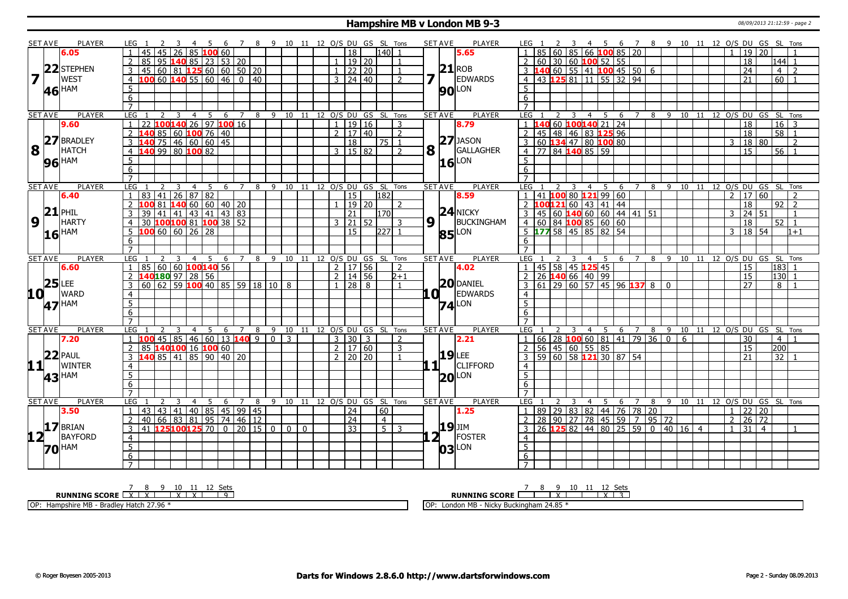#### **Hampshire MB v London MB 9-3** 08/09/2013 21:12:59 - page 2

|                                    | <b>SET AVE</b>      | <b>PLAYER</b>     | LEG 1                             |    |                                                   |     | - 4            |    |              |   |                |        |                |                |          |                         |                 |                     |                                    | 5 6 7 8 9 10 11 12 O/S DU GS SL Tons |              | <b>SET AVE</b>  | <b>PLAYER</b>       | LEG 1                                                                 |                         |     |     | 4 5 6 7 8 9 10 11 12 O/S DU GS SL Tons |    |                                |   |  |                |                            |                 |                   |                |
|------------------------------------|---------------------|-------------------|-----------------------------------|----|---------------------------------------------------|-----|----------------|----|--------------|---|----------------|--------|----------------|----------------|----------|-------------------------|-----------------|---------------------|------------------------------------|--------------------------------------|--------------|-----------------|---------------------|-----------------------------------------------------------------------|-------------------------|-----|-----|----------------------------------------|----|--------------------------------|---|--|----------------|----------------------------|-----------------|-------------------|----------------|
|                                    |                     | 6.05              |                                   | 45 |                                                   | 26. |                |    | $185$ 100 60 |   |                |        |                |                |          |                         | 18              |                     | $140$   1                          |                                      |              |                 | 5.65                | 85<br>-60<br>$\blacksquare$                                           | 85 66 100 85 20         |     |     |                                        |    |                                |   |  | $\overline{1}$ | 19 20                      |                 |                   |                |
|                                    |                     |                   |                                   |    | 95 <b>140</b> 85 23 53 20                         |     |                |    |              |   |                |        |                |                |          |                         |                 | 19 20               |                                    | $\overline{1}$                       |              |                 |                     | 60 <sup>1</sup>                                                       | 30 60 100 52 55         |     |     |                                        |    |                                |   |  |                | 18                         |                 | 144  1            |                |
|                                    |                     | 22 STEPHEN        |                                   |    | 60   81   125   60   60   50   20                 |     |                |    |              |   |                |        |                |                |          |                         |                 | 22   20             |                                    |                                      |              |                 | $21$ ROB            | 40 60 55 41 100 45 50 6                                               |                         |     |     |                                        |    |                                |   |  |                | 24                         |                 | $\overline{4}$    | $\overline{z}$ |
| $\overline{\mathbf{z}}$            |                     | <b>WEST</b>       | $\overline{4}$                    |    | $60$ 140 55 60 46                                 |     |                |    |              |   |                | 0   40 |                |                |          |                         |                 | 3   24   40         |                                    | $\overline{2}$                       |              |                 | <b>EDWARDS</b>      | 43 125 81 11 55 32 94<br>$\overline{4}$                               |                         |     |     |                                        |    |                                |   |  |                | 21                         |                 | 60                |                |
|                                    | 46 HAM              |                   | 5                                 |    |                                                   |     |                |    |              |   |                |        |                |                |          |                         |                 |                     |                                    |                                      |              |                 | <b>90</b> LON       | 5                                                                     |                         |     |     |                                        |    |                                |   |  |                |                            |                 |                   |                |
|                                    |                     |                   | 6                                 |    |                                                   |     |                |    |              |   |                |        |                |                |          |                         |                 |                     |                                    |                                      |              |                 |                     | 6                                                                     |                         |     |     |                                        |    |                                |   |  |                |                            |                 |                   |                |
|                                    |                     |                   | $\overline{7}$                    |    |                                                   |     |                |    |              |   |                |        |                |                |          |                         |                 |                     |                                    |                                      |              |                 |                     | $\overline{7}$                                                        |                         |     |     |                                        |    |                                |   |  |                |                            |                 |                   |                |
|                                    | <b>SET AVE</b>      | <b>PLAYER</b>     | LEG                               |    |                                                   | 3   | $\overline{4}$ |    | 5            | 6 | 7              |        |                |                |          |                         |                 |                     | 8 9 10 11 12 O/S DU GS SL Tons     |                                      |              | <b>SET AVE</b>  | <b>PLAYER</b>       | LEG                                                                   | 4                       | 5   | 6   | $7^{\circ}$                            |    | 8 9 10 11 12 0/S DU GS SL Tons |   |  |                |                            |                 |                   |                |
|                                    |                     | 9.60              |                                   |    | 100 <mark>140</mark> 26 97 100 16                 |     |                |    |              |   |                |        |                |                |          | $\mathbf{1}$            |                 | 19   16             |                                    | 3                                    |              |                 | 8.79                | $\overline{1}$                                                        | 60 100140 21 24         |     |     |                                        |    |                                |   |  |                | 18                         |                 | 16                | $\overline{3}$ |
|                                    |                     |                   | $\overline{2}$                    |    | 85 60 <b>100</b> 76 40                            |     |                |    |              |   |                |        |                |                |          |                         |                 | 2 1 1 7 1 4 0       |                                    | $\overline{2}$                       |              |                 |                     | 45 48 46 83 125 96<br>$\overline{2}$                                  |                         |     |     |                                        |    |                                |   |  |                | $\overline{18}$            |                 | $\overline{58}$ 1 |                |
|                                    |                     | 27 BRADLEY        | $\mathbf{3}$                      |    | 75 46 60 60 45                                    |     |                |    |              |   |                |        |                |                |          |                         | 18              |                     | 75 1                               |                                      |              |                 | $27$ JASON          | 60 134 47 80 100 80<br>$\overline{3}$                                 |                         |     |     |                                        |    |                                |   |  | 3              | 18 80                      |                 |                   | 2              |
| 8                                  |                     | <b>HATCH</b>      | $\overline{4}$                    |    | 140 99 80 100 82                                  |     |                |    |              |   |                |        |                |                |          |                         |                 | 3   15   82         |                                    | $\overline{2}$                       | $\mathbf{8}$ |                 | GALLAGHER           | 4 77 84 140 85 59                                                     |                         |     |     |                                        |    |                                |   |  |                | $\overline{15}$            |                 | $56$   1          |                |
|                                    |                     |                   | 5 <sup>5</sup>                    |    |                                                   |     |                |    |              |   |                |        |                |                |          |                         |                 |                     |                                    |                                      |              |                 | LON                 | $5\overline{)}$                                                       |                         |     |     |                                        |    |                                |   |  |                |                            |                 |                   |                |
|                                    |                     | <b>96 HAM</b>     | 6                                 |    |                                                   |     |                |    |              |   |                |        |                |                |          |                         |                 |                     |                                    |                                      |              | 16              |                     | 6                                                                     |                         |     |     |                                        |    |                                |   |  |                |                            |                 |                   |                |
|                                    |                     |                   | $\overline{7}$                    |    |                                                   |     |                |    |              |   |                |        |                |                |          |                         |                 |                     |                                    |                                      |              |                 |                     | $\overline{7}$                                                        |                         |     |     |                                        |    |                                |   |  |                |                            |                 |                   |                |
|                                    | <b>SET AVE</b>      | <b>PLAYER</b>     | LEG                               |    |                                                   | 3   | $\overline{4}$ | -5 |              |   |                |        |                |                |          |                         |                 |                     | 6 7 8 9 10 11 12 O/S DU GS SL Tons |                                      |              | <b>SET AVE</b>  | <b>PLAYER</b>       | LEG <sub>1</sub>                                                      | $\overline{\mathbf{3}}$ | 4 5 | - 6 | 7 8 9 10 11 12 0/S DU GS SL Tons       |    |                                |   |  |                |                            |                 |                   |                |
|                                    |                     | 6.40              |                                   | 83 | 41 I                                              |     | 26 87 82       |    |              |   |                |        |                |                |          |                         | 15              |                     | 182                                |                                      |              |                 | 8.59                | $\overline{1}$<br>41 100                                              | $80$ 121 99 60          |     |     |                                        |    |                                |   |  | $\overline{2}$ | 17 60                      |                 |                   |                |
|                                    |                     |                   |                                   |    | 81 <b>  140</b>   60   60   40   20               |     |                |    |              |   |                |        |                |                |          |                         |                 | 19 20               |                                    | $\mathcal{L}$                        |              |                 |                     | $.00121$ 60   43   41   44<br>2 I                                     |                         |     |     |                                        |    |                                |   |  |                | 18                         |                 | 92                | $\overline{z}$ |
|                                    | 21                  | PHIL              | 3                                 | 39 | $141$   41   43   41   43   83                    |     |                |    |              |   |                |        |                |                |          |                         | $\overline{21}$ |                     | 170                                |                                      |              |                 | $24$ NICKY          | 3<br>45                                                               |                         |     |     |                                        |    |                                |   |  | $\mathbf{3}$   | $\boxed{24}$ 51            |                 |                   | $\overline{1}$ |
| $\boldsymbol{9}$                   |                     | <b>HARTY</b>      | $\overline{4}$                    |    | 30 100 100 81 100 38 52                           |     |                |    |              |   |                |        |                |                |          |                         |                 | $3 \mid 21 \mid 52$ |                                    | 3                                    | 9            |                 | BUCKINGHAM          | $4 \ 60 \ 84 \ 100 \ 85 \ 60 \ 60$                                    |                         |     |     |                                        |    |                                |   |  |                | 18                         |                 | $\overline{52}$   | $\overline{1}$ |
|                                    |                     |                   |                                   |    | $5 \vert 100 \vert 60 \vert 60 \vert 26 \vert 28$ |     |                |    |              |   |                |        |                |                |          |                         | 15              |                     | $ 227 $ 1                          |                                      |              |                 |                     | $5$ 177 58 45 85 82 54                                                |                         |     |     |                                        |    |                                |   |  | $\overline{3}$ | 18 54                      |                 |                   | $1 + 1$        |
|                                    | $16$ <sup>HAM</sup> |                   | 6                                 |    |                                                   |     |                |    |              |   |                |        |                |                |          |                         |                 |                     |                                    |                                      |              |                 | <b>85</b> LON       | 6                                                                     |                         |     |     |                                        |    |                                |   |  |                |                            |                 |                   |                |
|                                    |                     |                   | $\overline{7}$                    |    |                                                   |     |                |    |              |   |                |        |                |                |          |                         |                 |                     |                                    |                                      |              |                 |                     | $\overline{7}$                                                        |                         |     |     |                                        |    |                                |   |  |                |                            |                 |                   |                |
|                                    |                     |                   |                                   |    |                                                   | 3   |                |    |              |   | 4 5 6 7        | 8      | 9              |                |          |                         |                 |                     | 10 11 12 0/S DU GS SL Tons         |                                      |              | <b>SET AVE</b>  | <b>PLAYER</b>       | LEG                                                                   | 3                       | 4 5 |     | 6 7 8                                  |    | 9 10 11 12 O/S DU GS           |   |  |                |                            |                 | SL Tons           |                |
|                                    |                     |                   |                                   |    |                                                   |     |                |    |              |   |                |        |                |                |          |                         |                 |                     |                                    |                                      |              |                 |                     |                                                                       |                         |     |     |                                        |    |                                |   |  |                |                            |                 |                   |                |
|                                    | <b>SET AVE</b>      | <b>PLAYER</b>     | LEG.                              |    |                                                   |     |                |    |              |   |                |        |                |                |          |                         |                 |                     |                                    |                                      |              |                 |                     |                                                                       |                         |     |     |                                        |    |                                |   |  |                |                            |                 |                   |                |
|                                    |                     | 6.60              | $\overline{1}$                    |    | 85 60 60 100 140 56                               |     |                |    |              |   |                |        |                |                |          |                         |                 | $2 \mid 17 \mid 56$ |                                    | $\overline{z}$                       |              |                 | 4.02                | 45 58 45 125 45<br>$\vert$ 1                                          |                         |     |     |                                        |    |                                |   |  |                | 15                         |                 | $183$ 1           |                |
|                                    |                     |                   | $\overline{2}$                    |    | 140 <mark>180</mark> 97 28 56                     |     |                |    |              |   |                |        |                |                |          |                         |                 | $2 \mid 14 \mid 56$ |                                    | $2 + 1$                              |              |                 |                     | 26 140 66 40 99                                                       |                         |     |     |                                        |    |                                |   |  |                | 15                         |                 | 130               |                |
|                                    | $25$ LEE            |                   | 3                                 |    | $\overline{60}$ 62 59 100 40 85 59 18 10 8        |     |                |    |              |   |                |        |                |                |          | $\mathbf{1}$            |                 | 28 8                |                                    | $\overline{1}$                       |              |                 | $20$ DANIEL         | $\boxed{61}$ 29 60 57 45 96 137 8 0                                   |                         |     |     |                                        |    |                                |   |  |                | 27                         |                 | 8 <sup>1</sup>    |                |
|                                    |                     | <b>WARD</b>       | $\overline{4}$                    |    |                                                   |     |                |    |              |   |                |        |                |                |          |                         |                 |                     |                                    |                                      | LOH          |                 | <b>EDWARDS</b>      | $\overline{4}$                                                        |                         |     |     |                                        |    |                                |   |  |                |                            |                 |                   |                |
|                                    | 47 HAM              |                   | $\overline{5}$                    |    |                                                   |     |                |    |              |   |                |        |                |                |          |                         |                 |                     |                                    |                                      |              |                 | $74$ <sup>LON</sup> | $\overline{5}$                                                        |                         |     |     |                                        |    |                                |   |  |                |                            |                 |                   |                |
|                                    |                     |                   | 6                                 |    |                                                   |     |                |    |              |   |                |        |                |                |          |                         |                 |                     |                                    |                                      |              |                 |                     | $6\overline{6}$                                                       |                         |     |     |                                        |    |                                |   |  |                |                            |                 |                   |                |
|                                    |                     |                   | $\overline{7}$                    |    |                                                   |     |                |    |              |   |                |        |                |                |          |                         |                 |                     |                                    |                                      |              |                 |                     | $\overline{7}$                                                        |                         |     |     |                                        |    |                                |   |  |                |                            |                 |                   |                |
|                                    | <b>SET AVE</b>      | <b>PLAYER</b>     | LEG                               |    |                                                   |     |                | 5  |              | 6 | 7              | 8      |                |                |          |                         |                 |                     | 9 10 11 12 O/S DU GS SL Tons       |                                      |              | <b>SET AVE</b>  | <b>PLAYER</b>       | <b>LEG</b>                                                            | $\overline{4}$          | - 5 | 6   | $\overline{z}$                         | 8  | 9                              |   |  |                | 10 11 12 O/S DU GS SL Tons |                 |                   |                |
|                                    |                     | 7.20              |                                   |    | 45 85 46 60 13 140                                |     |                |    |              |   |                | 9      | $\overline{0}$ | $\overline{3}$ |          | $\overline{\mathbf{3}}$ | $\overline{30}$ | 3                   |                                    | 2                                    |              |                 | 2.21                | 66   28   <mark>100</mark> 60   81   41   79   36   0<br>$\mathbf{1}$ |                         |     |     |                                        |    |                                | 6 |  |                | 30                         |                 | $\overline{4}$    |                |
|                                    |                     |                   | 2                                 |    | 85 140100 16 100 60                               |     |                |    |              |   |                |        |                |                |          | $\overline{2}$          |                 | 17   60             |                                    | 3                                    |              |                 |                     | $56 \mid 45 \mid 60 \mid 55 \mid 85$<br>2                             |                         |     |     |                                        |    |                                |   |  |                | 15                         |                 | 2001              |                |
|                                    |                     | $ 22 $ PAUL       | 3                                 |    | 140 85   41   85   90   40   20                   |     |                |    |              |   |                |        |                |                |          | $\overline{2}$          |                 | 20   20             |                                    |                                      |              | 19              | <b>LEE</b>          | 59 60 58 121 30 87 54<br>3                                            |                         |     |     |                                        |    |                                |   |  |                | 21                         |                 | $\overline{32}$   |                |
|                                    |                     | <b>WINTER</b>     | $\overline{4}$                    |    |                                                   |     |                |    |              |   |                |        |                |                |          |                         |                 |                     |                                    |                                      |              | 111             | <b>CLIFFORD</b>     | $\overline{4}$                                                        |                         |     |     |                                        |    |                                |   |  |                |                            |                 |                   |                |
|                                    |                     | 43 <sup>HAM</sup> | $\overline{5}$                    |    |                                                   |     |                |    |              |   |                |        |                |                |          |                         |                 |                     |                                    |                                      |              | 20 <sub>l</sub> | LON                 | $\overline{5}$                                                        |                         |     |     |                                        |    |                                |   |  |                |                            |                 |                   |                |
| 11+                                |                     |                   | 6                                 |    |                                                   |     |                |    |              |   |                |        |                |                |          |                         |                 |                     |                                    |                                      |              |                 |                     | 6                                                                     |                         |     |     |                                        |    |                                |   |  |                |                            |                 |                   |                |
|                                    |                     |                   | $\overline{7}$                    |    |                                                   |     |                |    |              |   |                |        |                |                |          |                         |                 |                     |                                    |                                      |              |                 |                     | $\overline{7}$                                                        |                         |     |     |                                        |    |                                |   |  |                |                            |                 |                   |                |
|                                    | <b>SET AVE</b>      | <b>PLAYER</b>     | <b>LEG</b>                        |    |                                                   |     | $\overline{4}$ | 5  |              | 6 | $\overline{7}$ | 8      |                |                |          |                         |                 |                     |                                    | 9 10 11 12 0/S DU GS SL Tons         |              | <b>SET AVE</b>  | PLAYER              | <b>LEG</b>                                                            | 4                       |     | 6   | $\overline{7}$                         | 89 |                                |   |  |                | 10 11 12 O/S DU GS SL Tons |                 |                   |                |
|                                    |                     | 3.50              | $\overline{1}$                    | 43 | 43 41 40 85 45 99 45                              |     |                |    |              |   |                |        |                |                |          |                         | 24              |                     | 60                                 |                                      |              |                 | 1.25                | 89 29 83 82 44 76 78 20<br>$\vert$ 1                                  |                         |     |     |                                        |    |                                |   |  | $\overline{1}$ | $\overline{22}$            | 20              |                   |                |
|                                    |                     |                   | 2                                 | 40 | 66 83 81 95 74 46 12                              |     |                |    |              |   |                |        |                |                |          |                         | $\sqrt{24}$     |                     | $\overline{4}$                     |                                      |              |                 |                     | 28 90 27 78 45 59 7 95 72<br>$\overline{2}$                           |                         |     |     |                                        |    |                                |   |  | $\overline{2}$ | $\overline{26}$            | $\overline{72}$ |                   |                |
|                                    |                     | 17 BRIAN          | 3                                 |    | 41 <b>125100125</b> 70 0 20 15                    |     |                |    |              |   |                |        | $\Omega$       | $\Omega$       | $\Omega$ |                         | $\overline{33}$ |                     | $5 \mid 3$                         |                                      |              | <b>19</b> JIM   |                     | 26 125 82 44 80 25 59 0                                               |                         |     |     |                                        |    | 40 16 4                        |   |  | $\mathbf{1}$   | $\overline{31}$            | $\overline{4}$  |                   |                |
|                                    |                     | BAYFORD           | $\overline{4}$                    |    |                                                   |     |                |    |              |   |                |        |                |                |          |                         |                 |                     |                                    |                                      |              | $2^1$           | FOSTER              | 4                                                                     |                         |     |     |                                        |    |                                |   |  |                |                            |                 |                   |                |
| 10 <sup>7</sup><br>12 <sup>7</sup> | <b>70 HAM</b>       |                   | $\overline{5}$                    |    |                                                   |     |                |    |              |   |                |        |                |                |          |                         |                 |                     |                                    |                                      |              | 03              | LON                 | $\overline{5}$                                                        |                         |     |     |                                        |    |                                |   |  |                |                            |                 |                   |                |
|                                    |                     |                   | $6\overline{6}$<br>$\overline{7}$ |    |                                                   |     |                |    |              |   |                |        |                |                |          |                         |                 |                     |                                    |                                      |              |                 |                     | $6\overline{6}$<br>$\overline{7}$                                     |                         |     |     |                                        |    |                                |   |  |                |                            |                 |                   |                |

**RUNNING SCORE** 7 X 8 X 9 10 X 11 X 12 Sets 9 OP: Hampshire MB - Bradley Hatch 27.96 \* **RUNNING SCORE** 7 8 9 X 10 11 12 X Sets 3 OP: London MB - Nicky Buckingham 24.85 \*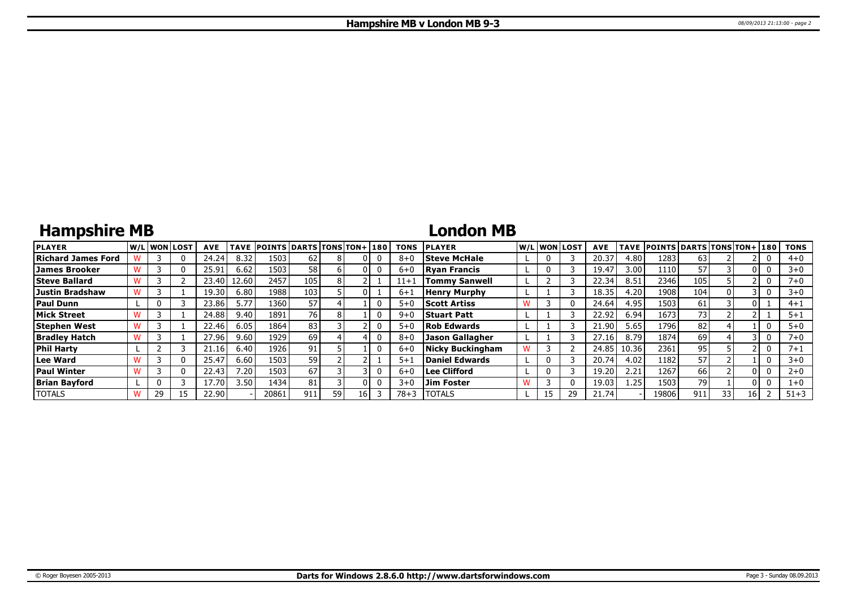## **Hampshire MB**

### **London MB**

| <b>PLAYER</b>          |    | lw/Llwonllost | <b>AVE</b> | <b>TAVE</b> | <b>POINTS DARTS TONS TON+180</b> |     |      |  | <b>TONS</b> | <b>PLAYER</b>           |  | W/Liwonilost | <b>AVE</b>     |       | TAVE POINTS DARTS TONS TON+ 180 |     |    |    | <b>TONS</b> |
|------------------------|----|---------------|------------|-------------|----------------------------------|-----|------|--|-------------|-------------------------|--|--------------|----------------|-------|---------------------------------|-----|----|----|-------------|
| Richard James Ford     |    | 0             | 24.24      | 8.32        | 1503                             | 62  |      |  | $8 + C$     | <b>Steve McHale</b>     |  |              | $20.3^{\circ}$ | 4.80  | 1283                            | 63  |    |    | $4 + 0$     |
| James Brooker          |    | 0             | 25.91      | 6.62        | 1503                             | 58  |      |  | $6 + C$     | <b>Ryan Francis</b>     |  |              | 19.47          | 3.00  | 1110                            | 57  |    |    | $3+0$       |
| <b>Steve Ballard</b>   |    |               | 23.40      | 12.60       | 2457                             | 105 |      |  | 11+1        | Tommv Sanwell           |  |              | 22.34          | 8.51  | 2346                            | 105 |    |    | 7+0         |
| <b>Justin Bradshaw</b> |    |               | 19.30      | 6.80        | 1988                             | 103 |      |  | $6 + 1$     | <b>Henry Murphy</b>     |  |              | 18.35          | 4.20  | 1908                            | 104 |    |    | $3 + 0$     |
| <b>Paul Dunn</b>       |    |               | 23.86      | 5.77        | 1360                             | 57  |      |  | $5 + C$     | <b>Scott Artiss</b>     |  |              | 24.64          | 4.95  | 1503                            | 61  |    |    | $4 + 1$     |
| <b>Mick Street</b>     |    |               | 24.88      | 9.40        | 1891                             | 76  |      |  | $9 + 0$     | <b>Stuart Patt</b>      |  |              | 22.92          | 6.94  | 1673                            | 73  |    |    | $5 + 1$     |
| <b>Stephen West</b>    |    |               | 22.46      | 6.05        | 1864                             | 83  |      |  | $5 + 0$     | <b>Rob Edwards</b>      |  |              | 21.90          | 5.65  | 1796                            | 82  |    |    | $5 + 0$     |
| <b>Bradley Hatch</b>   |    |               | 27.96      | 9.60        | 1929                             | 69  |      |  | $8 + 6$     | Jason Gallagher         |  |              | 27.16          | 8.79  | 1874                            | 69  |    |    | 7+0         |
| <b>Phil Harty</b>      |    |               | 21.16      | 6.40        | 1926 l                           | 91  |      |  | $6 + 0$     | <b>Nicky Buckingham</b> |  |              | 24.85          | 10.36 | 2361                            | 95  |    |    | $7 + 1$     |
| Lee Ward               |    | 0             | 25.47      | 6.60        | 1503                             | 59  |      |  | $5 + 1$     | Daniel Edwards          |  |              | 20.74          | 4.02  | 1182                            | 57  |    |    | $3 + 0$     |
| <b>Paul Winter</b>     |    | 0             | 22.43      | 7.20        | 1503                             | 67  |      |  | $6 + C$     | Lee Clifford            |  |              | 19.20          | 2.21  | 1267                            | 66  |    | ΩI | $2 + 0$     |
| <b>Brian Bayford</b>   |    |               | 17.70      | 3.50        | 1434                             | 81  |      |  | $3 + 0$     | <b>Jim Foster</b>       |  |              | 19.03          | 1.25  | 1503                            | 79  |    |    | $1+0$       |
| <b>TOTALS</b>          | 29 |               | 22.90      |             | 20861                            | 911 | 59 I |  | $78 + 3$    | <b>TOTALS</b>           |  | 29           | 21.74          |       | 19806                           | 911 | 33 | 16 | $51 + 3$    |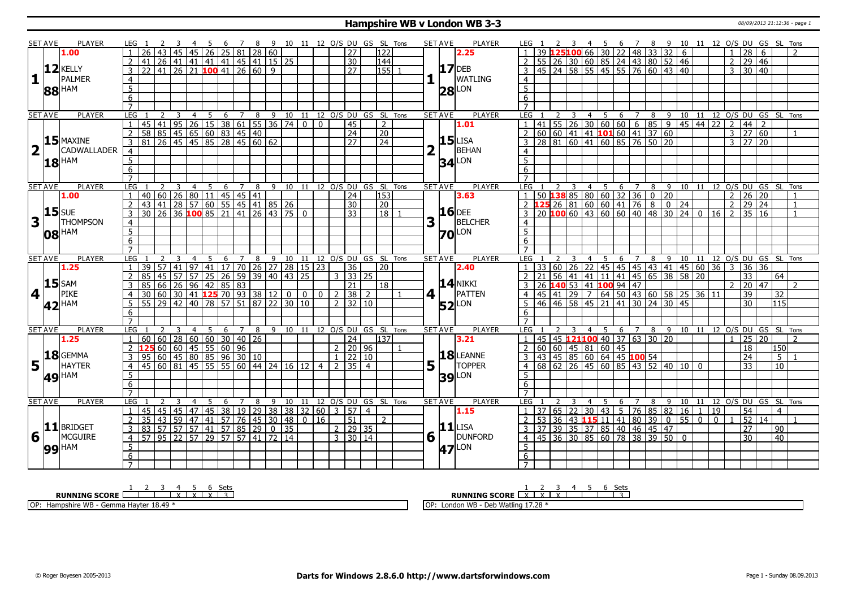#### **Hampshire WB v London WB 3-3** 08/09/2013 21:12:36 - page 1

|                         | <b>SET AVE</b> | <b>PLAYER</b>       | LEG 1            |                                              |                       |                |    | 45678                                                                                      |                |                |  |       |                |                                                              |                 |                                | 9 10 11 12 O/S DU GS SL Tons                                                                                      |         | <b>SET AVE</b> | PLAYER                | LEG 1            |                 |    |    | 2 3 4 5 6 7 8 9 10 11 12 O/S DU GS SL Tons                          |   |                        |   |           |                                                                                                                                             |                |                    |                      |                 |                |
|-------------------------|----------------|---------------------|------------------|----------------------------------------------|-----------------------|----------------|----|--------------------------------------------------------------------------------------------|----------------|----------------|--|-------|----------------|--------------------------------------------------------------|-----------------|--------------------------------|-------------------------------------------------------------------------------------------------------------------|---------|----------------|-----------------------|------------------|-----------------|----|----|---------------------------------------------------------------------|---|------------------------|---|-----------|---------------------------------------------------------------------------------------------------------------------------------------------|----------------|--------------------|----------------------|-----------------|----------------|
|                         |                | 1.00                |                  |                                              |                       |                |    | 45   26   25   81   28   60                                                                |                |                |  |       |                |                                                              | $\overline{27}$ | 122                            |                                                                                                                   |         |                | 2.25                  |                  |                 |    |    | 25100 66 30 22 48 33 32 6                                           |   |                        |   |           |                                                                                                                                             |                | $\overline{28}$    | <b>6</b>             |                 |                |
|                         |                |                     |                  | 41                                           |                       |                |    | 26 41 41 41 41 45 41 15 25                                                                 |                |                |  |       |                |                                                              | 30              | $\sqrt{144}$                   |                                                                                                                   |         |                |                       |                  |                 |    |    |                                                                     |   |                        |   |           |                                                                                                                                             | $\overline{2}$ |                    | $29 \mid 46$         |                 |                |
|                         |                | $12$ <b>KELLY</b>   | 3                | $22   41   26   21   100   41   26   60   9$ |                       |                |    |                                                                                            |                |                |  |       |                |                                                              | $\overline{27}$ | 155                            |                                                                                                                   |         |                | $17$ DEB              |                  |                 |    |    | 55 26 30 60 85 24 43 80 52 46<br>45 24 58 55 45 55 76 60 43 40      |   |                        |   |           |                                                                                                                                             | 3              |                    | 30   40              |                 |                |
| $\mathbf{1}$            |                | PALMER              |                  |                                              |                       |                |    |                                                                                            |                |                |  |       |                |                                                              |                 |                                |                                                                                                                   |         |                | <b>WATLING</b>        |                  |                 |    |    |                                                                     |   |                        |   |           |                                                                                                                                             |                |                    |                      |                 |                |
|                         |                |                     | $\overline{4}$   |                                              |                       |                |    |                                                                                            |                |                |  |       |                |                                                              |                 |                                |                                                                                                                   |         |                |                       | $\overline{4}$   |                 |    |    |                                                                     |   |                        |   |           |                                                                                                                                             |                |                    |                      |                 |                |
|                         |                | 88 HAM              | $\overline{5}$   |                                              |                       |                |    |                                                                                            |                |                |  |       |                |                                                              |                 |                                |                                                                                                                   |         | 28             | LON                   | 5 <sup>5</sup>   |                 |    |    |                                                                     |   |                        |   |           |                                                                                                                                             |                |                    |                      |                 |                |
|                         |                |                     | $\overline{6}$   |                                              |                       |                |    |                                                                                            |                |                |  |       |                |                                                              |                 |                                |                                                                                                                   |         |                |                       | 6                |                 |    |    |                                                                     |   |                        |   |           |                                                                                                                                             |                |                    |                      |                 |                |
|                         |                |                     | $\overline{7}$   |                                              |                       |                |    |                                                                                            |                |                |  |       |                |                                                              |                 |                                |                                                                                                                   |         |                |                       | $\overline{7}$   |                 |    |    |                                                                     |   |                        |   |           |                                                                                                                                             |                |                    |                      |                 |                |
|                         | <b>SET AVE</b> | <b>PLAYER</b>       | LEG              |                                              |                       |                |    |                                                                                            |                |                |  |       |                |                                                              |                 |                                | 1 2 3 4 5 6 7 8 9 10 11 12 0/5 DU GS SL TONS<br>45 41 95 26 15 38 61 55 36 74 0 0 45 2<br>58 85 45 65 60 83 45 40 |         | <b>SET AVE</b> | <b>PLAYER</b>         | LEG <sub>1</sub> |                 |    |    |                                                                     |   |                        |   |           | 1 2 3 4 5 6 7 8 9 10 11 12<br>41 55 26 30 60 60 6 85 9 45 44 22<br>60 60 41 41 <b>101</b> 60 41 37 60<br>6 7 8 9 10 11 12 0/S DU GS SL Tons |                |                    |                      |                 |                |
|                         |                |                     |                  |                                              |                       |                |    |                                                                                            |                |                |  |       |                |                                                              |                 |                                |                                                                                                                   |         |                | 1.01                  |                  |                 |    |    |                                                                     |   |                        |   |           |                                                                                                                                             | $\overline{2}$ | $\vert 44 \vert 2$ |                      |                 |                |
|                         |                |                     | $\overline{2}$   |                                              |                       |                |    |                                                                                            |                |                |  |       |                |                                                              |                 |                                |                                                                                                                   |         |                |                       |                  |                 |    |    |                                                                     |   |                        |   |           |                                                                                                                                             |                | $3 \ 27 \ 60$      |                      |                 |                |
|                         |                | $15$ MAXINE         | $\overline{3}$   | 81 26 45 45 85 28 45 60 62                   |                       |                |    |                                                                                            |                |                |  |       |                |                                                              | $\overline{27}$ | $\sqrt{24}$                    |                                                                                                                   |         |                | $15$ LISA             |                  |                 |    |    | 28 81 60 41 60 85 76 50 20                                          |   |                        |   |           |                                                                                                                                             | $\overline{3}$ |                    | $27 \overline{20}$   |                 |                |
| $\overline{\mathbf{2}}$ |                | <b>CADWALLADER</b>  | $\overline{4}$   |                                              |                       |                |    |                                                                                            |                |                |  |       |                |                                                              |                 |                                |                                                                                                                   |         |                | BEHAN                 | 4                |                 |    |    |                                                                     |   |                        |   |           |                                                                                                                                             |                |                    |                      |                 |                |
|                         |                |                     | $\overline{5}$   |                                              |                       |                |    |                                                                                            |                |                |  |       |                |                                                              |                 |                                |                                                                                                                   |         |                |                       | $\overline{5}$   |                 |    |    |                                                                     |   |                        |   |           |                                                                                                                                             |                |                    |                      |                 |                |
|                         |                | $18$ <sup>HAM</sup> | 6                |                                              |                       |                |    |                                                                                            |                |                |  |       |                |                                                              |                 |                                |                                                                                                                   |         |                | $34$ <sup>LON</sup>   | 6                |                 |    |    |                                                                     |   |                        |   |           |                                                                                                                                             |                |                    |                      |                 |                |
|                         |                |                     | $\overline{7}$   |                                              |                       |                |    |                                                                                            |                |                |  |       |                |                                                              |                 |                                |                                                                                                                   |         |                |                       | $\overline{z}$   |                 |    |    |                                                                     |   |                        |   |           |                                                                                                                                             |                |                    |                      |                 |                |
|                         |                |                     |                  |                                              |                       |                |    |                                                                                            |                |                |  |       |                |                                                              |                 |                                |                                                                                                                   |         |                |                       |                  |                 |    |    |                                                                     |   |                        |   |           |                                                                                                                                             |                |                    |                      |                 |                |
|                         | <b>SET AVE</b> | <b>PLAYER</b>       | LEG              |                                              |                       | $\overline{4}$ |    | 5<br>6                                                                                     | 7              | 8              |  |       |                |                                                              |                 | 9 10 11 12 O/S DU GS SL Tons   |                                                                                                                   |         | <b>SET AVE</b> | <b>PLAYER</b>         | LEG              |                 |    |    | $\overline{4}$<br>5                                                 | 6 | 7                      |   | 8 9 10 11 |                                                                                                                                             |                |                    | 12 O/S DU GS SL Tons |                 |                |
|                         |                | 1.00                |                  | 40 60 26 80 11 45 45 41                      |                       |                |    |                                                                                            |                |                |  |       |                |                                                              | $\sqrt{24}$     | 153                            |                                                                                                                   |         |                | 3.63                  |                  |                 |    |    | <u>125</u> 26 81 60 60 32 36 0 20                                   |   |                        |   |           |                                                                                                                                             | $\overline{2}$ |                    | $26 \overline{)20}$  |                 |                |
|                         |                | $15$ SUE            | $\overline{2}$   | 43                                           | 41                    |                |    | 28 57 60 55 45 41 85 26                                                                    |                |                |  |       |                |                                                              | 30              | $\overline{20}$                |                                                                                                                   |         |                |                       | 2                |                 |    |    |                                                                     |   |                        |   |           |                                                                                                                                             | $\overline{2}$ |                    | $\overline{29}$ 24   |                 | $\overline{1}$ |
|                         |                |                     | $\overline{3}$   | 30 26 36 100 85 21 41 26 43 75 0             |                       |                |    |                                                                                            |                |                |  |       |                |                                                              | $\overline{33}$ |                                | $\sqrt{18}$ 1                                                                                                     |         |                | <b>16</b> DEE         |                  |                 |    |    |                                                                     |   |                        |   |           | 20 100 60 43 60 60 40 48 30 24 0 16 2                                                                                                       |                |                    | 35 16                |                 | $\overline{1}$ |
| 3                       |                | <b>THOMPSON</b>     | $\overline{4}$   |                                              |                       |                |    |                                                                                            |                |                |  |       |                |                                                              |                 |                                |                                                                                                                   | 3       |                | <b>BELCHER</b>        | $\overline{4}$   |                 |    |    |                                                                     |   |                        |   |           |                                                                                                                                             |                |                    |                      |                 |                |
|                         |                | <b>08 HAM</b>       | $\overline{5}$   |                                              |                       |                |    |                                                                                            |                |                |  |       |                |                                                              |                 |                                |                                                                                                                   |         |                | <b>70</b> LON         | $\overline{5}$   |                 |    |    |                                                                     |   |                        |   |           |                                                                                                                                             |                |                    |                      |                 |                |
|                         |                |                     | 6                |                                              |                       |                |    |                                                                                            |                |                |  |       |                |                                                              |                 |                                |                                                                                                                   |         |                |                       | 6                |                 |    |    |                                                                     |   |                        |   |           |                                                                                                                                             |                |                    |                      |                 |                |
|                         |                |                     | $\overline{7}$   |                                              |                       |                |    |                                                                                            |                |                |  |       |                |                                                              |                 |                                |                                                                                                                   |         |                |                       |                  |                 |    |    |                                                                     |   |                        |   |           |                                                                                                                                             |                |                    |                      |                 |                |
|                         | <b>SET AVE</b> | <b>PLAYER</b>       | LEG              |                                              |                       |                |    | 6                                                                                          |                |                |  |       |                |                                                              |                 | 8 9 10 11 12 O/S DU GS SL Tons |                                                                                                                   |         | <b>SET AVE</b> | <b>PLAYER</b>         | <b>LEG</b>       |                 |    |    | 5<br>$\overline{4}$                                                 | 6 | $\overline{7}$         |   |           | 8 9 10 11 12 0/S DU GS SL Tons                                                                                                              |                |                    |                      |                 |                |
|                         |                |                     |                  |                                              |                       |                |    |                                                                                            |                |                |  |       |                |                                                              |                 |                                |                                                                                                                   |         |                |                       |                  |                 |    |    |                                                                     |   |                        |   |           |                                                                                                                                             |                |                    |                      |                 |                |
|                         |                | 1.25                |                  | 39                                           | 57                    | 41<br>97       |    |                                                                                            |                |                |  |       |                |                                                              | 36              | 20                             |                                                                                                                   |         |                | 2.40                  |                  | 33              | 60 | 26 |                                                                     |   |                        |   |           |                                                                                                                                             |                |                    |                      |                 |                |
|                         |                |                     | $\overline{2}$   | 85                                           | 45                    |                |    | 41 17 70 26 27 28 15 23                                                                    |                |                |  |       |                |                                                              |                 |                                |                                                                                                                   |         |                |                       |                  |                 |    |    |                                                                     |   |                        |   |           | $\vert$ 22   45   45   45   43   41   45   60   36   3                                                                                      |                |                    | 36 36                | 64              |                |
|                         |                |                     |                  | 85                                           |                       |                |    | 57   57   25   26   59   39   40   43   25                                                 |                |                |  |       |                | $3 \mid 33 \mid 25$                                          | 21              |                                |                                                                                                                   |         |                |                       |                  |                 |    |    | 56 41 41 11 41 45 65 38 58 20                                       |   |                        |   |           |                                                                                                                                             | $\mathcal{P}$  | $\overline{33}$    |                      |                 | $\overline{z}$ |
|                         |                | $15$ SAM            | 3                |                                              |                       |                |    |                                                                                            |                |                |  |       |                |                                                              |                 | $\sqrt{18}$                    |                                                                                                                   |         |                | <b>14 NIKKI</b>       |                  |                 |    |    | 26 140 53 41 100 94 47                                              |   |                        |   |           |                                                                                                                                             |                |                    | 20   47              |                 |                |
| $\vert 4 \vert$         |                | PIKE                | $\overline{4}$   | 30                                           |                       |                |    |                                                                                            |                |                |  | $0-1$ |                | $0$   2   38   2                                             |                 |                                |                                                                                                                   | 4 1     |                | PATTEN                | $\overline{4}$   |                 |    |    |                                                                     |   |                        |   |           |                                                                                                                                             |                | $\overline{39}$    |                      | 32              |                |
|                         |                | 42 <sup>HAM</sup>   | 5 <sup>2</sup>   | 55                                           |                       |                |    | 166 26 96 42 85 83<br>60 30 41 <b>125</b> 70 93 38 12 0 0<br>29 42 40 78 57 51 87 22 30 10 |                |                |  |       |                | $\overline{2}$                                               | 32 10           |                                |                                                                                                                   |         |                | $52$ <sup>LON</sup>   | $5\overline{)}$  |                 |    |    | 45 41 29 7 64 50 43 60 58 25 36 11<br>46 46 58 45 21 41 30 24 30 45 |   |                        |   |           |                                                                                                                                             |                | $\overline{30}$    |                      | 115             |                |
|                         |                |                     | 6                |                                              |                       |                |    |                                                                                            |                |                |  |       |                |                                                              |                 |                                |                                                                                                                   |         |                |                       | 6                |                 |    |    |                                                                     |   |                        |   |           |                                                                                                                                             |                |                    |                      |                 |                |
|                         |                |                     | $\overline{7}$   |                                              |                       |                |    |                                                                                            |                |                |  |       |                |                                                              |                 |                                |                                                                                                                   |         |                |                       | $\overline{7}$   |                 |    |    |                                                                     |   |                        |   |           |                                                                                                                                             |                |                    |                      |                 |                |
|                         | <b>SET AVE</b> | PLAYER              | LEG              |                                              | 3                     |                | -5 | - 6                                                                                        | $\overline{7}$ | 8 <sup>8</sup> |  |       |                |                                                              |                 | 9 10 11 12 O/S DU GS SL Tons   |                                                                                                                   |         | <b>SET AVE</b> | <b>PLAYER</b>         | LEG <sub>1</sub> |                 |    |    | - 5<br>$\overline{4}$                                               | 6 | $\overline{7}$         |   |           | 8 9 10 11 12 O/S DU GS SL Tons                                                                                                              |                |                    |                      |                 |                |
|                         |                | 1.25                |                  | 60                                           |                       |                |    | 60   28   60   60   30   40   26                                                           |                |                |  |       |                |                                                              | $\overline{24}$ | 137                            |                                                                                                                   |         |                | 3.21                  | $\overline{1}$   |                 |    |    | 45 45 121100 40 37 63 30 20                                         |   |                        |   |           |                                                                                                                                             |                |                    | 25 20                |                 |                |
|                         |                |                     | $\mathcal{P}$    |                                              |                       |                |    | 60 60 45 55 60 96                                                                          |                |                |  |       |                | $2 \mid 20 \mid 96$                                          |                 |                                | $\mathbf{1}$                                                                                                      |         |                |                       | $\overline{2}$   |                 |    |    |                                                                     |   |                        |   |           |                                                                                                                                             |                | 18                 |                      | 150             |                |
|                         |                | 18 GEMMA            |                  | 95                                           |                       |                |    | $60 \mid 45 \mid 80 \mid 85 \mid 96 \mid 30 \mid 10$                                       |                |                |  |       |                |                                                              | 22   10         |                                |                                                                                                                   |         |                | 18 LEANNE             |                  |                 |    |    | 43 45 85 60 64 45 100 54                                            |   |                        |   |           |                                                                                                                                             |                | $\overline{24}$    |                      | 5 <sup>1</sup>  |                |
| 5                       | $\mathbf{L}$   | <b>HAYTER</b>       | 4                | 45                                           | 60   81               |                |    | 45   55   55   60   44   24   16   12                                                      |                |                |  |       | $\overline{4}$ | $\overline{2}$                                               | l 35 l          | $\overline{4}$                 |                                                                                                                   | 5       |                | <b>TOPPER</b>         |                  |                 |    |    | 68 62 26 45 60 85 43 52 40 10 0                                     |   |                        |   |           |                                                                                                                                             |                | 33                 |                      | $\overline{10}$ |                |
|                         |                |                     | 5                |                                              |                       |                |    |                                                                                            |                |                |  |       |                |                                                              |                 |                                |                                                                                                                   |         |                |                       | $5\overline{5}$  |                 |    |    |                                                                     |   |                        |   |           |                                                                                                                                             |                |                    |                      |                 |                |
|                         |                | 49 HAM              | 6                |                                              |                       |                |    |                                                                                            |                |                |  |       |                |                                                              |                 |                                |                                                                                                                   |         |                | <b>39</b> LON         | 6                |                 |    |    |                                                                     |   |                        |   |           |                                                                                                                                             |                |                    |                      |                 |                |
|                         |                |                     | $\overline{7}$   |                                              |                       |                |    |                                                                                            |                |                |  |       |                |                                                              |                 |                                |                                                                                                                   |         |                |                       | $\overline{7}$   |                 |    |    |                                                                     |   |                        |   |           |                                                                                                                                             |                |                    |                      |                 |                |
|                         | <b>SET AVE</b> | <b>PLAYER</b>       | LEG              |                                              |                       |                | .5 | -6                                                                                         | 7              | 8              |  |       |                |                                                              |                 | 9 10 11 12 O/S DU GS SL Tons   |                                                                                                                   |         | <b>SET AVE</b> |                       | LEG <sub>1</sub> |                 |    |    | 4<br>-5.                                                            | 6 | 7                      | 8 |           | 9 10 11 12 O/S DU GS SL Tons                                                                                                                |                |                    |                      |                 |                |
|                         |                |                     | $\mathbf{1}$     | 45                                           |                       |                |    |                                                                                            |                |                |  |       |                |                                                              |                 |                                |                                                                                                                   |         |                | <b>PLAYER</b><br>1.15 |                  | 37   65   22    |    |    |                                                                     |   |                        |   |           | 19                                                                                                                                          |                |                    |                      | $\overline{4}$  |                |
|                         |                |                     |                  |                                              | 45                    |                |    |                                                                                            |                |                |  |       |                | 45   47   45   38   19   29   38   38   32   60   3   57   4 |                 |                                |                                                                                                                   |         |                |                       |                  |                 |    |    | $ 30\rangle$                                                        |   | $ 43 $ 5 76 85 82 16 1 |   |           |                                                                                                                                             |                | $\overline{54}$    |                      |                 |                |
|                         |                |                     | 2                | 35                                           | $ 43\rangle$          | 59             |    | 47 41 57 76 45 30 48 0 16                                                                  |                |                |  |       |                |                                                              | $\overline{51}$ | 2                              |                                                                                                                   |         |                |                       |                  | $\overline{53}$ |    |    | $36 \mid 43$ 115 11 41 80 39 0                                      |   |                        |   | 550       | $\mathbf{0}$                                                                                                                                |                | 52                 | $\overline{14}$      |                 |                |
|                         |                | $11$ BRIDGET        | $\mathbf{3}$     | $\sqrt{83}$                                  | $\overline{57}$ 57    |                |    | $57$ 41 57 85 29 0 35                                                                      |                |                |  |       |                | $2 \mid 29 \mid 35$                                          |                 |                                |                                                                                                                   |         |                | $11$ LISA             | $\overline{3}$   |                 |    |    | 37 39 35 37 85 40 46 45 47                                          |   |                        |   |           |                                                                                                                                             |                | $\overline{27}$    |                      | $\overline{90}$ |                |
| 6                       |                | MCGUIRE             | $\overline{4}$   | 57                                           | 95<br>$\overline{22}$ |                |    | 57 29 57 57 41 72 14                                                                       |                |                |  |       |                | 3   30   14                                                  |                 |                                |                                                                                                                   | $6\Box$ |                | DUNFORD               | $\overline{4}$   |                 |    |    | 45 36 30 85 60 78 38 39 50 0                                        |   |                        |   |           |                                                                                                                                             |                | $\overline{30}$    |                      | $\overline{40}$ |                |
|                         |                | 99 HAM              | 5                |                                              |                       |                |    |                                                                                            |                |                |  |       |                |                                                              |                 |                                |                                                                                                                   |         | 47             | LON                   | 5                |                 |    |    |                                                                     |   |                        |   |           |                                                                                                                                             |                |                    |                      |                 |                |
|                         |                |                     | 6<br>$7^{\circ}$ |                                              |                       |                |    |                                                                                            |                |                |  |       |                |                                                              |                 |                                |                                                                                                                   |         |                |                       | 6                |                 |    |    |                                                                     |   |                        |   |           |                                                                                                                                             |                |                    |                      |                 |                |

**RUNNING SCORE**  $\begin{array}{|c|c|c|c|c|c|}\n\hline\n & 2 & 3 & 4 & 5 & 6 & \text{Sets} \\
\hline\n\end{array}$ 

OP: Hampshire WB - Gemma Hayter 18.49 \*

**RUNNING SCORE**  $\begin{array}{|c|c|c|c|c|}\n\hline\n & 2 & 3 & 4 & 5 & 6 & \text{Sets} \\
\hline\n\textbf{R} & & \textbf{R} & & \textbf{R} & & \textbf{R} \\
\hline\n\end{array}$ 

OP: London WB - Deb Watling 17.28 \*